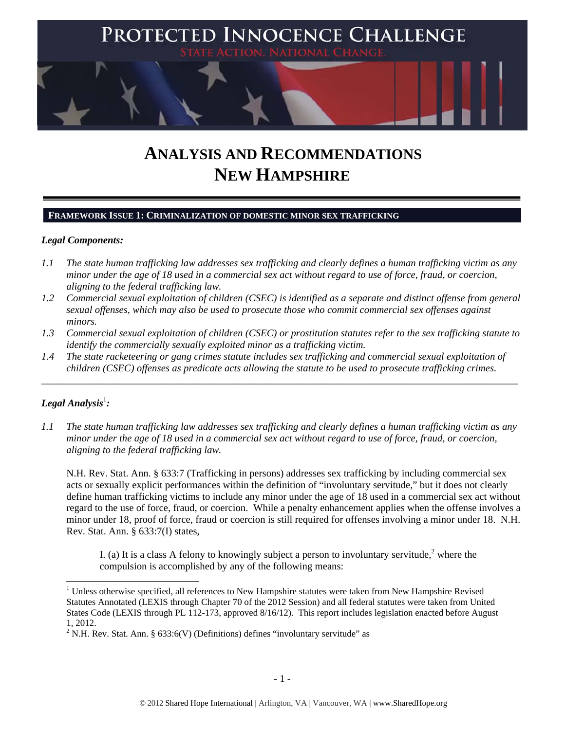

# **ANALYSIS AND RECOMMENDATIONS NEW HAMPSHIRE**

## **FRAMEWORK ISSUE 1: CRIMINALIZATION OF DOMESTIC MINOR SEX TRAFFICKING**

#### *Legal Components:*

- *1.1 The state human trafficking law addresses sex trafficking and clearly defines a human trafficking victim as any minor under the age of 18 used in a commercial sex act without regard to use of force, fraud, or coercion, aligning to the federal trafficking law.*
- *1.2 Commercial sexual exploitation of children (CSEC) is identified as a separate and distinct offense from general sexual offenses, which may also be used to prosecute those who commit commercial sex offenses against minors.*
- *1.3 Commercial sexual exploitation of children (CSEC) or prostitution statutes refer to the sex trafficking statute to identify the commercially sexually exploited minor as a trafficking victim.*

\_\_\_\_\_\_\_\_\_\_\_\_\_\_\_\_\_\_\_\_\_\_\_\_\_\_\_\_\_\_\_\_\_\_\_\_\_\_\_\_\_\_\_\_\_\_\_\_\_\_\_\_\_\_\_\_\_\_\_\_\_\_\_\_\_\_\_\_\_\_\_\_\_\_\_\_\_\_\_\_\_\_\_\_\_\_\_\_\_\_\_\_\_\_

*1.4 The state racketeering or gang crimes statute includes sex trafficking and commercial sexual exploitation of children (CSEC) offenses as predicate acts allowing the statute to be used to prosecute trafficking crimes.* 

# $\bm{L}$ egal Analysis $^{\rm l}$ :

l

*1.1 The state human trafficking law addresses sex trafficking and clearly defines a human trafficking victim as any minor under the age of 18 used in a commercial sex act without regard to use of force, fraud, or coercion, aligning to the federal trafficking law.* 

N.H. Rev. Stat. Ann. § 633:7 (Trafficking in persons) addresses sex trafficking by including commercial sex acts or sexually explicit performances within the definition of "involuntary servitude," but it does not clearly define human trafficking victims to include any minor under the age of 18 used in a commercial sex act without regard to the use of force, fraud, or coercion. While a penalty enhancement applies when the offense involves a minor under 18, proof of force, fraud or coercion is still required for offenses involving a minor under 18. N.H. Rev. Stat. Ann. § 633:7(I) states,

I. (a) It is a class A felony to knowingly subject a person to involuntary servitude,  $2^{\circ}$  where the compulsion is accomplished by any of the following means:

<sup>&</sup>lt;sup>1</sup> Unless otherwise specified, all references to New Hampshire statutes were taken from New Hampshire Revised Statutes Annotated (LEXIS through Chapter 70 of the 2012 Session) and all federal statutes were taken from United States Code (LEXIS through PL 112-173, approved 8/16/12). This report includes legislation enacted before August 1, 2012.

<sup>&</sup>lt;sup>2</sup> N.H. Rev. Stat. Ann. § 633:6(V) (Definitions) defines "involuntary servitude" as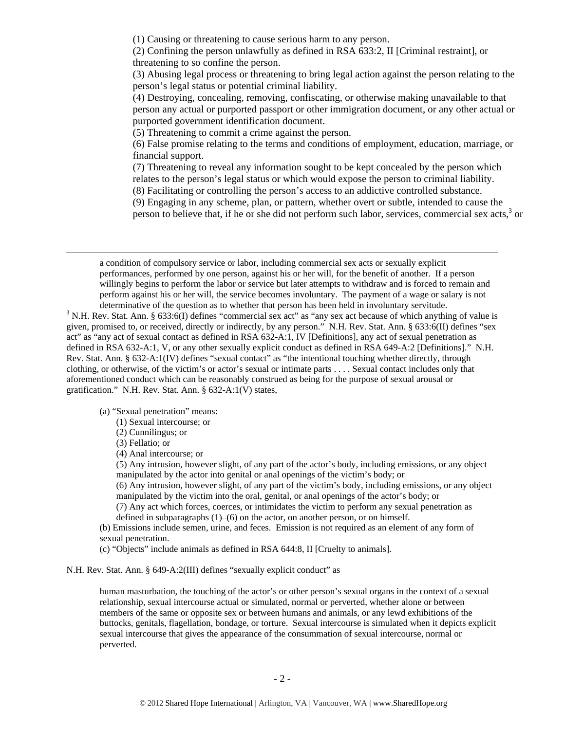(1) Causing or threatening to cause serious harm to any person.

(2) Confining the person unlawfully as defined in RSA 633:2, II [Criminal restraint], or threatening to so confine the person.

(3) Abusing legal process or threatening to bring legal action against the person relating to the person's legal status or potential criminal liability.

(4) Destroying, concealing, removing, confiscating, or otherwise making unavailable to that person any actual or purported passport or other immigration document, or any other actual or purported government identification document.

(5) Threatening to commit a crime against the person.

(6) False promise relating to the terms and conditions of employment, education, marriage, or financial support.

(7) Threatening to reveal any information sought to be kept concealed by the person which relates to the person's legal status or which would expose the person to criminal liability.

(8) Facilitating or controlling the person's access to an addictive controlled substance.

(9) Engaging in any scheme, plan, or pattern, whether overt or subtle, intended to cause the person to believe that, if he or she did not perform such labor, services, commercial sex acts, $3$  or

a condition of compulsory service or labor, including commercial sex acts or sexually explicit performances, performed by one person, against his or her will, for the benefit of another. If a person willingly begins to perform the labor or service but later attempts to withdraw and is forced to remain and perform against his or her will, the service becomes involuntary. The payment of a wage or salary is not determinative of the question as to whether that person has been held in involuntary servitude.

<sup>3</sup> N.H. Rev. Stat. Ann. § 633:6(I) defines "commercial sex act" as "any sex act because of which anything of value is given, promised to, or received, directly or indirectly, by any person." N.H. Rev. Stat. Ann. § 633:6(II) defines "sex act" as "any act of sexual contact as defined in RSA 632-A:1, IV [Definitions], any act of sexual penetration as defined in RSA 632-A:1, V, or any other sexually explicit conduct as defined in RSA 649-A:2 [Definitions]." N.H. Rev. Stat. Ann. § 632-A:1(IV) defines "sexual contact" as "the intentional touching whether directly, through clothing, or otherwise, of the victim's or actor's sexual or intimate parts . . . . Sexual contact includes only that aforementioned conduct which can be reasonably construed as being for the purpose of sexual arousal or gratification." N.H. Rev. Stat. Ann. § 632-A:1(V) states,

(a) "Sexual penetration" means:

(1) Sexual intercourse; or

(2) Cunnilingus; or

(3) Fellatio; or

1

(4) Anal intercourse; or

(5) Any intrusion, however slight, of any part of the actor's body, including emissions, or any object manipulated by the actor into genital or anal openings of the victim's body; or

(6) Any intrusion, however slight, of any part of the victim's body, including emissions, or any object manipulated by the victim into the oral, genital, or anal openings of the actor's body; or

(7) Any act which forces, coerces, or intimidates the victim to perform any sexual penetration as defined in subparagraphs (1)–(6) on the actor, on another person, or on himself.

(b) Emissions include semen, urine, and feces. Emission is not required as an element of any form of sexual penetration.

(c) "Objects" include animals as defined in RSA 644:8, II [Cruelty to animals].

N.H. Rev. Stat. Ann. § 649-A:2(III) defines "sexually explicit conduct" as

human masturbation, the touching of the actor's or other person's sexual organs in the context of a sexual relationship, sexual intercourse actual or simulated, normal or perverted, whether alone or between members of the same or opposite sex or between humans and animals, or any lewd exhibitions of the buttocks, genitals, flagellation, bondage, or torture. Sexual intercourse is simulated when it depicts explicit sexual intercourse that gives the appearance of the consummation of sexual intercourse, normal or perverted.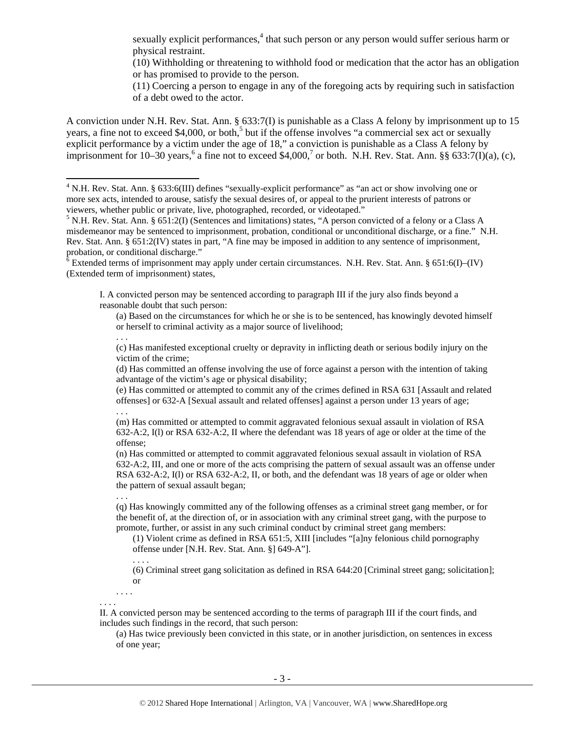sexually explicit performances,<sup>4</sup> that such person or any person would suffer serious harm or physical restraint.

(10) Withholding or threatening to withhold food or medication that the actor has an obligation or has promised to provide to the person.

(11) Coercing a person to engage in any of the foregoing acts by requiring such in satisfaction of a debt owed to the actor.

A conviction under N.H. Rev. Stat. Ann. § 633:7(I) is punishable as a Class A felony by imprisonment up to 15 years, a fine not to exceed \$4,000, or both,<sup>5</sup> but if the offense involves "a commercial sex act or sexually explicit performance by a victim under the age of 18," a conviction is punishable as a Class A felony by imprisonment for 10–30 years,<sup>6</sup> a fine not to exceed \$4,000,<sup>7</sup> or both. N.H. Rev. Stat. Ann. §§ 633:7(I)(a), (c),

 $6$  Extended terms of imprisonment may apply under certain circumstances. N.H. Rev. Stat. Ann. § 651:6(I)–(IV) (Extended term of imprisonment) states,

I. A convicted person may be sentenced according to paragraph III if the jury also finds beyond a reasonable doubt that such person:

(a) Based on the circumstances for which he or she is to be sentenced, has knowingly devoted himself or herself to criminal activity as a major source of livelihood;

(c) Has manifested exceptional cruelty or depravity in inflicting death or serious bodily injury on the victim of the crime;

(d) Has committed an offense involving the use of force against a person with the intention of taking advantage of the victim's age or physical disability;

(e) Has committed or attempted to commit any of the crimes defined in RSA 631 [Assault and related offenses] or 632-A [Sexual assault and related offenses] against a person under 13 years of age; . . .

(m) Has committed or attempted to commit aggravated felonious sexual assault in violation of RSA 632-A:2, I(l) or RSA 632-A:2, II where the defendant was 18 years of age or older at the time of the offense;

(n) Has committed or attempted to commit aggravated felonious sexual assault in violation of RSA 632-A:2, III, and one or more of the acts comprising the pattern of sexual assault was an offense under RSA 632-A:2, I(l) or RSA 632-A:2, II, or both, and the defendant was 18 years of age or older when the pattern of sexual assault began;

. . .

. . . .

. . .

 $\overline{\phantom{a}}$ 

(q) Has knowingly committed any of the following offenses as a criminal street gang member, or for the benefit of, at the direction of, or in association with any criminal street gang, with the purpose to promote, further, or assist in any such criminal conduct by criminal street gang members:

(1) Violent crime as defined in RSA 651:5, XIII [includes "[a]ny felonious child pornography offense under [N.H. Rev. Stat. Ann. §] 649-A"].

(6) Criminal street gang solicitation as defined in RSA 644:20 [Criminal street gang; solicitation]; or

. . . . . . . .

II. A convicted person may be sentenced according to the terms of paragraph III if the court finds, and includes such findings in the record, that such person:

(a) Has twice previously been convicted in this state, or in another jurisdiction, on sentences in excess of one year;

<sup>&</sup>lt;sup>4</sup> N.H. Rev. Stat. Ann. § 633:6(III) defines "sexually-explicit performance" as "an act or show involving one or more sex acts, intended to arouse, satisfy the sexual desires of, or appeal to the prurient interests of patrons or viewers, whether public or private, live, photographed, recorded, or videotaped."

<sup>&</sup>lt;sup>5</sup> N.H. Rev. Stat. Ann. § 651:2(I) (Sentences and limitations) states, "A person convicted of a felony or a Class A misdemeanor may be sentenced to imprisonment, probation, conditional or unconditional discharge, or a fine." N.H. Rev. Stat. Ann. § 651:2(IV) states in part, "A fine may be imposed in addition to any sentence of imprisonment, probation, or conditional discharge."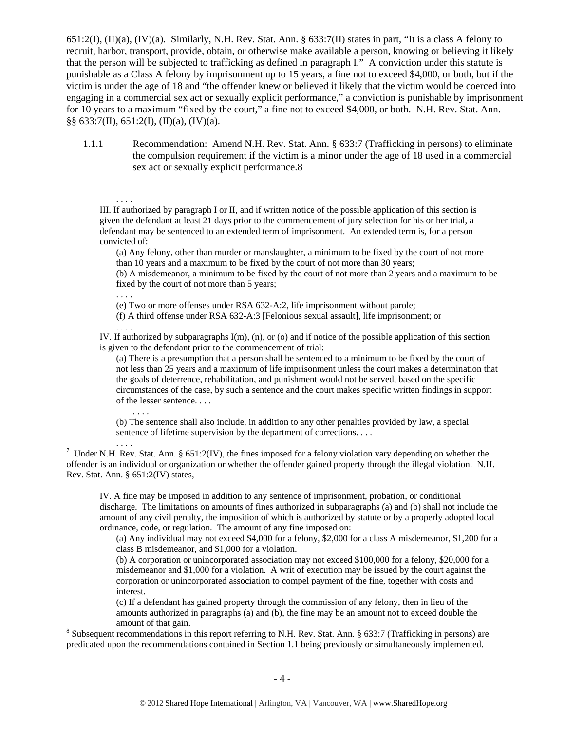651:2(I), (II)(a), (IV)(a). Similarly, N.H. Rev. Stat. Ann. § 633:7(II) states in part, "It is a class A felony to recruit, harbor, transport, provide, obtain, or otherwise make available a person, knowing or believing it likely that the person will be subjected to trafficking as defined in paragraph I." A conviction under this statute is punishable as a Class A felony by imprisonment up to 15 years, a fine not to exceed \$4,000, or both, but if the victim is under the age of 18 and "the offender knew or believed it likely that the victim would be coerced into engaging in a commercial sex act or sexually explicit performance," a conviction is punishable by imprisonment for 10 years to a maximum "fixed by the court," a fine not to exceed \$4,000, or both. N.H. Rev. Stat. Ann. §§ 633:7(II), 651:2(I), (II)(a), (IV)(a).

1.1.1 Recommendation: Amend N.H. Rev. Stat. Ann. § 633:7 (Trafficking in persons) to eliminate the compulsion requirement if the victim is a minor under the age of 18 used in a commercial sex act or sexually explicit performance.8

III. If authorized by paragraph I or II, and if written notice of the possible application of this section is given the defendant at least 21 days prior to the commencement of jury selection for his or her trial, a defendant may be sentenced to an extended term of imprisonment. An extended term is, for a person convicted of:

(a) Any felony, other than murder or manslaughter, a minimum to be fixed by the court of not more than 10 years and a maximum to be fixed by the court of not more than 30 years;

(b) A misdemeanor, a minimum to be fixed by the court of not more than 2 years and a maximum to be fixed by the court of not more than 5 years;

. . . .

. . . .

. . . .

. . . .

1

(e) Two or more offenses under RSA 632-A:2, life imprisonment without parole;

(f) A third offense under RSA 632-A:3 [Felonious sexual assault], life imprisonment; or

IV. If authorized by subparagraphs I(m), (n), or (o) and if notice of the possible application of this section is given to the defendant prior to the commencement of trial:

(a) There is a presumption that a person shall be sentenced to a minimum to be fixed by the court of not less than 25 years and a maximum of life imprisonment unless the court makes a determination that the goals of deterrence, rehabilitation, and punishment would not be served, based on the specific circumstances of the case, by such a sentence and the court makes specific written findings in support of the lesser sentence. . . .

(b) The sentence shall also include, in addition to any other penalties provided by law, a special sentence of lifetime supervision by the department of corrections. . . .

. . . . 7 Under N.H. Rev. Stat. Ann. § 651:2(IV), the fines imposed for a felony violation vary depending on whether the offender is an individual or organization or whether the offender gained property through the illegal violation. N.H. Rev. Stat. Ann. § 651:2(IV) states,

IV. A fine may be imposed in addition to any sentence of imprisonment, probation, or conditional discharge. The limitations on amounts of fines authorized in subparagraphs (a) and (b) shall not include the amount of any civil penalty, the imposition of which is authorized by statute or by a properly adopted local ordinance, code, or regulation. The amount of any fine imposed on:

(a) Any individual may not exceed \$4,000 for a felony, \$2,000 for a class A misdemeanor, \$1,200 for a class B misdemeanor, and \$1,000 for a violation.

(b) A corporation or unincorporated association may not exceed \$100,000 for a felony, \$20,000 for a misdemeanor and \$1,000 for a violation. A writ of execution may be issued by the court against the corporation or unincorporated association to compel payment of the fine, together with costs and interest.

(c) If a defendant has gained property through the commission of any felony, then in lieu of the amounts authorized in paragraphs (a) and (b), the fine may be an amount not to exceed double the

amount of that gain.<br><sup>8</sup> Subsequent recommendations in this report referring to N.H. Rev. Stat. Ann. § 633:7 (Trafficking in persons) are predicated upon the recommendations contained in Section 1.1 being previously or simultaneously implemented.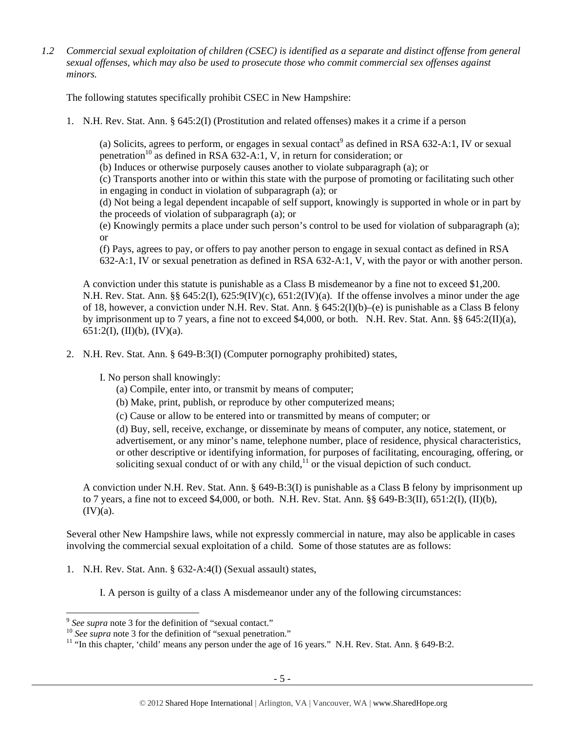*1.2 Commercial sexual exploitation of children (CSEC) is identified as a separate and distinct offense from general sexual offenses, which may also be used to prosecute those who commit commercial sex offenses against minors.* 

The following statutes specifically prohibit CSEC in New Hampshire:

1. N.H. Rev. Stat. Ann. § 645:2(I) (Prostitution and related offenses) makes it a crime if a person

(a) Solicits, agrees to perform, or engages in sexual contact<sup>9</sup> as defined in RSA 632-A:1, IV or sexual penetration<sup>10</sup> as defined in RSA 632-A:1, V, in return for consideration; or

(b) Induces or otherwise purposely causes another to violate subparagraph (a); or

(c) Transports another into or within this state with the purpose of promoting or facilitating such other in engaging in conduct in violation of subparagraph (a); or

(d) Not being a legal dependent incapable of self support, knowingly is supported in whole or in part by the proceeds of violation of subparagraph (a); or

(e) Knowingly permits a place under such person's control to be used for violation of subparagraph (a); or

(f) Pays, agrees to pay, or offers to pay another person to engage in sexual contact as defined in RSA 632-A:1, IV or sexual penetration as defined in RSA 632-A:1, V, with the payor or with another person.

A conviction under this statute is punishable as a Class B misdemeanor by a fine not to exceed \$1,200. N.H. Rev. Stat. Ann. §§ 645:2(I), 625:9(IV)(c), 651:2(IV)(a). If the offense involves a minor under the age of 18, however, a conviction under N.H. Rev. Stat. Ann. § 645:2(I)(b)–(e) is punishable as a Class B felony by imprisonment up to 7 years, a fine not to exceed \$4,000, or both. N.H. Rev. Stat. Ann. §§ 645:2(II)(a),  $651:2(I), (II)(b), (IV)(a).$ 

2. N.H. Rev. Stat. Ann. § 649-B:3(I) (Computer pornography prohibited) states,

I. No person shall knowingly:

(a) Compile, enter into, or transmit by means of computer;

- (b) Make, print, publish, or reproduce by other computerized means;
- (c) Cause or allow to be entered into or transmitted by means of computer; or

(d) Buy, sell, receive, exchange, or disseminate by means of computer, any notice, statement, or advertisement, or any minor's name, telephone number, place of residence, physical characteristics, or other descriptive or identifying information, for purposes of facilitating, encouraging, offering, or soliciting sexual conduct of or with any child, $^{11}$  or the visual depiction of such conduct.

A conviction under N.H. Rev. Stat. Ann. § 649-B:3(I) is punishable as a Class B felony by imprisonment up to 7 years, a fine not to exceed \$4,000, or both. N.H. Rev. Stat. Ann.  $\S$ § 649-B:3(II), 651:2(I), (II)(b),  $(IV)(a)$ .

Several other New Hampshire laws, while not expressly commercial in nature, may also be applicable in cases involving the commercial sexual exploitation of a child. Some of those statutes are as follows:

1. N.H. Rev. Stat. Ann. § 632-A:4(I) (Sexual assault) states,

I. A person is guilty of a class A misdemeanor under any of the following circumstances:

l

<sup>&</sup>lt;sup>9</sup> See supra note 3 for the definition of "sexual contact."<br><sup>10</sup> See supra note 3 for the definition of "sexual penetration."<br><sup>11</sup> "In this chapter, 'child' means any person under the age of 16 years." N.H. Rev. Stat. An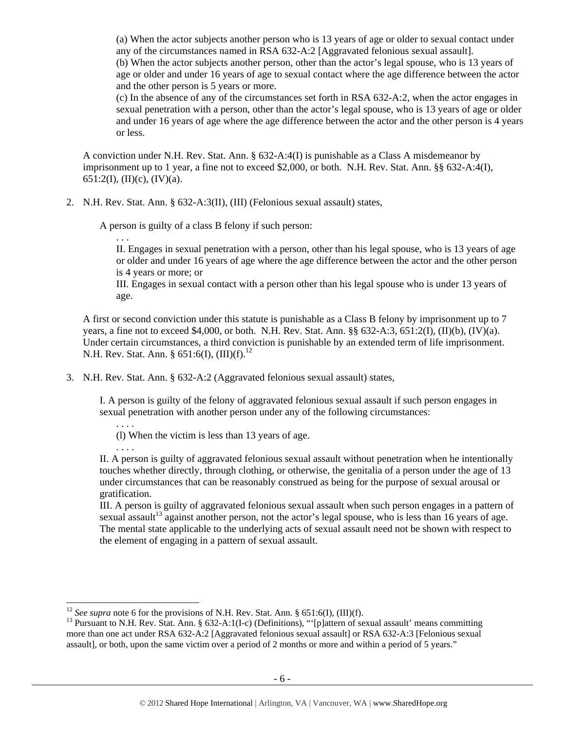(a) When the actor subjects another person who is 13 years of age or older to sexual contact under any of the circumstances named in RSA 632-A:2 [Aggravated felonious sexual assault]. (b) When the actor subjects another person, other than the actor's legal spouse, who is 13 years of

age or older and under 16 years of age to sexual contact where the age difference between the actor and the other person is 5 years or more.

(c) In the absence of any of the circumstances set forth in RSA 632-A:2, when the actor engages in sexual penetration with a person, other than the actor's legal spouse, who is 13 years of age or older and under 16 years of age where the age difference between the actor and the other person is 4 years or less.

A conviction under N.H. Rev. Stat. Ann. § 632-A:4(I) is punishable as a Class A misdemeanor by imprisonment up to 1 year, a fine not to exceed \$2,000, or both. N.H. Rev. Stat. Ann. §§ 632-A:4(I), 651:2(I), (II)(c), (IV)(a).

2. N.H. Rev. Stat. Ann. § 632-A:3(II), (III) (Felonious sexual assault) states,

A person is guilty of a class B felony if such person:

. . . II. Engages in sexual penetration with a person, other than his legal spouse, who is 13 years of age or older and under 16 years of age where the age difference between the actor and the other person is 4 years or more; or

III. Engages in sexual contact with a person other than his legal spouse who is under 13 years of age.

A first or second conviction under this statute is punishable as a Class B felony by imprisonment up to 7 years, a fine not to exceed \$4,000, or both. N.H. Rev. Stat. Ann.  $\S$ § 632-A:3, 651:2(I), (II)(b), (IV)(a). Under certain circumstances, a third conviction is punishable by an extended term of life imprisonment. N.H. Rev. Stat. Ann. § 651:6(I),  $(III)(f).^{12}$ 

3. N.H. Rev. Stat. Ann. § 632-A:2 (Aggravated felonious sexual assault) states,

I. A person is guilty of the felony of aggravated felonious sexual assault if such person engages in sexual penetration with another person under any of the following circumstances:

(l) When the victim is less than 13 years of age.

. . . .

. . . .

II. A person is guilty of aggravated felonious sexual assault without penetration when he intentionally touches whether directly, through clothing, or otherwise, the genitalia of a person under the age of 13 under circumstances that can be reasonably construed as being for the purpose of sexual arousal or gratification.

III. A person is guilty of aggravated felonious sexual assault when such person engages in a pattern of sexual assault<sup>13</sup> against another person, not the actor's legal spouse, who is less than 16 years of age. The mental state applicable to the underlying acts of sexual assault need not be shown with respect to the element of engaging in a pattern of sexual assault.

<sup>&</sup>lt;sup>12</sup> See supra note 6 for the provisions of N.H. Rev. Stat. Ann. § 651:6(I), (III)(f).

<sup>&</sup>lt;sup>13</sup> Pursuant to N.H. Rev. Stat. Ann. § 632-A:1(I-c) (Definitions), "'[p]attern of sexual assault' means committing more than one act under RSA 632-A:2 [Aggravated felonious sexual assault] or RSA 632-A:3 [Felonious sexual assault], or both, upon the same victim over a period of 2 months or more and within a period of 5 years."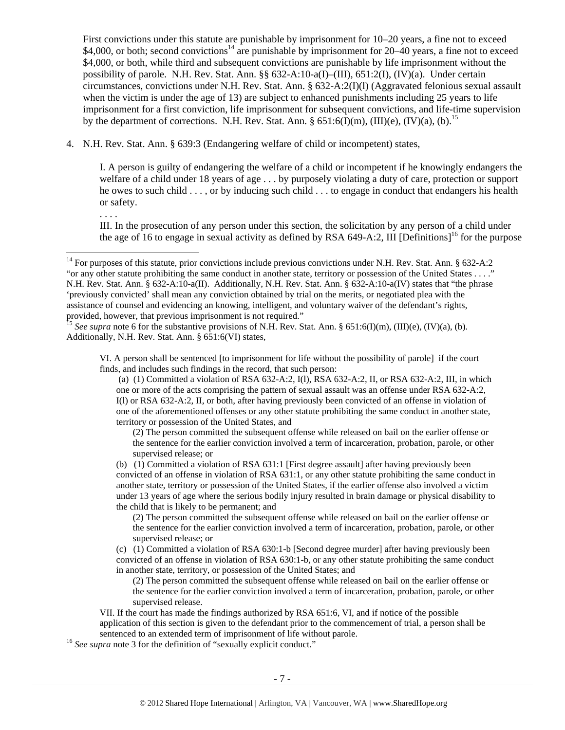First convictions under this statute are punishable by imprisonment for 10–20 years, a fine not to exceed \$4,000, or both; second convictions<sup>14</sup> are punishable by imprisonment for 20–40 years, a fine not to exceed \$4,000, or both, while third and subsequent convictions are punishable by life imprisonment without the possibility of parole. N.H. Rev. Stat. Ann. §§ 632-A:10-a(I)–(III), 651:2(I), (IV)(a). Under certain circumstances, convictions under N.H. Rev. Stat. Ann. § 632-A:2(I)(l) (Aggravated felonious sexual assault when the victim is under the age of 13) are subject to enhanced punishments including 25 years to life imprisonment for a first conviction, life imprisonment for subsequent convictions, and life-time supervision by the department of corrections. N.H. Rev. Stat. Ann. § 651:6(I)(m), (III)(e), (IV)(a), (b).<sup>15</sup>

4. N.H. Rev. Stat. Ann. § 639:3 (Endangering welfare of child or incompetent) states,

I. A person is guilty of endangering the welfare of a child or incompetent if he knowingly endangers the welfare of a child under 18 years of age . . . by purposely violating a duty of care, protection or support he owes to such child . . . , or by inducing such child . . . to engage in conduct that endangers his health or safety.

. . . .

1

III. In the prosecution of any person under this section, the solicitation by any person of a child under the age of 16 to engage in sexual activity as defined by RSA 649-A:2, III [Definitions]<sup>16</sup> for the purpose

VI. A person shall be sentenced [to imprisonment for life without the possibility of parole] if the court finds, and includes such findings in the record, that such person:

 (a) (1) Committed a violation of RSA 632-A:2, I(l), RSA 632-A:2, II, or RSA 632-A:2, III, in which one or more of the acts comprising the pattern of sexual assault was an offense under RSA 632-A:2, I(l) or RSA 632-A:2, II, or both, after having previously been convicted of an offense in violation of one of the aforementioned offenses or any other statute prohibiting the same conduct in another state, territory or possession of the United States, and

(2) The person committed the subsequent offense while released on bail on the earlier offense or the sentence for the earlier conviction involved a term of incarceration, probation, parole, or other supervised release; or

(b) (1) Committed a violation of RSA 631:1 [First degree assault] after having previously been convicted of an offense in violation of RSA 631:1, or any other statute prohibiting the same conduct in another state, territory or possession of the United States, if the earlier offense also involved a victim under 13 years of age where the serious bodily injury resulted in brain damage or physical disability to the child that is likely to be permanent; and

(2) The person committed the subsequent offense while released on bail on the earlier offense or the sentence for the earlier conviction involved a term of incarceration, probation, parole, or other supervised release; or

(c) (1) Committed a violation of RSA 630:1-b [Second degree murder] after having previously been convicted of an offense in violation of RSA 630:1-b, or any other statute prohibiting the same conduct in another state, territory, or possession of the United States; and

(2) The person committed the subsequent offense while released on bail on the earlier offense or the sentence for the earlier conviction involved a term of incarceration, probation, parole, or other supervised release.

VII. If the court has made the findings authorized by RSA 651:6, VI, and if notice of the possible application of this section is given to the defendant prior to the commencement of trial, a person shall be sentenced to an extended term of imprisonment of life without parole. 16 *See supra* note 3 for the definition of "sexually explicit conduct."

 $14$  For purposes of this statute, prior convictions include previous convictions under N.H. Rev. Stat. Ann. § 632-A:2 "or any other statute prohibiting the same conduct in another state, territory or possession of the United States . . . ." N.H. Rev. Stat. Ann. § 632-A:10-a(II). Additionally, N.H. Rev. Stat. Ann. § 632-A:10-a(IV) states that "the phrase 'previously convicted' shall mean any conviction obtained by trial on the merits, or negotiated plea with the assistance of counsel and evidencing an knowing, intelligent, and voluntary waiver of the defendant's rights, provided, however, that previous imprisonment is not required."

<sup>&</sup>lt;sup>15</sup> See supra note 6 for the substantive provisions of N.H. Rev. Stat. Ann. § 651:6(I)(m), (III)(e), (IV)(a), (b). Additionally, N.H. Rev. Stat. Ann. § 651:6(VI) states,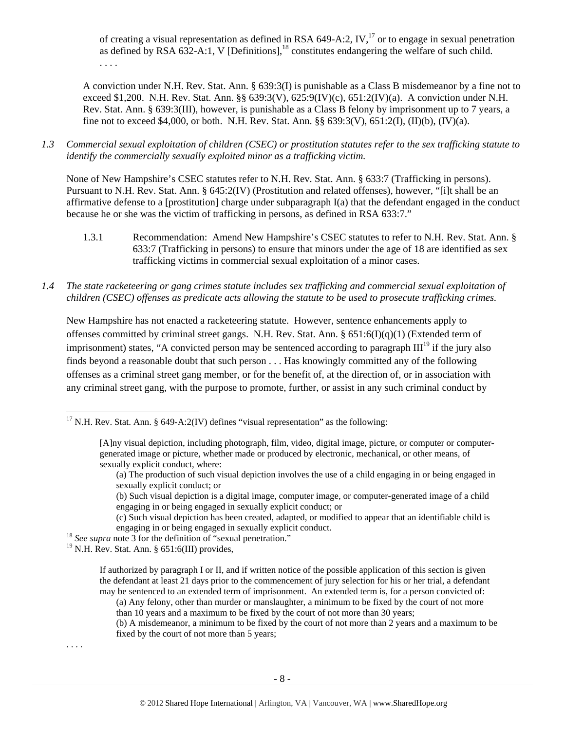of creating a visual representation as defined in RSA 649-A:2, IV,<sup>17</sup> or to engage in sexual penetration as defined by RSA  $632-A:1$ , V [Definitions],<sup>18</sup> constitutes endangering the welfare of such child. . . . .

A conviction under N.H. Rev. Stat. Ann. § 639:3(I) is punishable as a Class B misdemeanor by a fine not to exceed \$1,200. N.H. Rev. Stat. Ann. §§ 639:3(V), 625:9(IV)(c), 651:2(IV)(a). A conviction under N.H. Rev. Stat. Ann. § 639:3(III), however, is punishable as a Class B felony by imprisonment up to 7 years, a fine not to exceed \$4,000, or both. N.H. Rev. Stat. Ann. §§ 639:3(V), 651:2(I), (II)(b), (IV)(a).

*1.3 Commercial sexual exploitation of children (CSEC) or prostitution statutes refer to the sex trafficking statute to identify the commercially sexually exploited minor as a trafficking victim.* 

None of New Hampshire's CSEC statutes refer to N.H. Rev. Stat. Ann. § 633:7 (Trafficking in persons). Pursuant to N.H. Rev. Stat. Ann. § 645:2(IV) (Prostitution and related offenses), however, "[i]t shall be an affirmative defense to a [prostitution] charge under subparagraph I(a) that the defendant engaged in the conduct because he or she was the victim of trafficking in persons, as defined in RSA 633:7."

- 1.3.1 Recommendation: Amend New Hampshire's CSEC statutes to refer to N.H. Rev. Stat. Ann. § 633:7 (Trafficking in persons) to ensure that minors under the age of 18 are identified as sex trafficking victims in commercial sexual exploitation of a minor cases.
- *1.4 The state racketeering or gang crimes statute includes sex trafficking and commercial sexual exploitation of children (CSEC) offenses as predicate acts allowing the statute to be used to prosecute trafficking crimes.*

New Hampshire has not enacted a racketeering statute. However, sentence enhancements apply to offenses committed by criminal street gangs. N.H. Rev. Stat. Ann. § 651:6(I)(q)(1) (Extended term of imprisonment) states, "A convicted person may be sentenced according to paragraph  $III<sup>19</sup>$  if the jury also finds beyond a reasonable doubt that such person . . . Has knowingly committed any of the following offenses as a criminal street gang member, or for the benefit of, at the direction of, or in association with any criminal street gang, with the purpose to promote, further, or assist in any such criminal conduct by

- (b) Such visual depiction is a digital image, computer image, or computer-generated image of a child engaging in or being engaged in sexually explicit conduct; or
- (c) Such visual depiction has been created, adapted, or modified to appear that an identifiable child is engaging in or being engaged in sexually explicit conduct. 18 *See supra* note 3 for the definition of "sexual penetration."

<sup>19</sup> N.H. Rev. Stat. Ann. § 651:6(III) provides,

(b) A misdemeanor, a minimum to be fixed by the court of not more than 2 years and a maximum to be fixed by the court of not more than 5 years;

. . . .

1

 $17$  N.H. Rev. Stat. Ann. § 649-A:2(IV) defines "visual representation" as the following:

<sup>[</sup>A]ny visual depiction, including photograph, film, video, digital image, picture, or computer or computergenerated image or picture, whether made or produced by electronic, mechanical, or other means, of sexually explicit conduct, where:

<sup>(</sup>a) The production of such visual depiction involves the use of a child engaging in or being engaged in sexually explicit conduct; or

If authorized by paragraph I or II, and if written notice of the possible application of this section is given the defendant at least 21 days prior to the commencement of jury selection for his or her trial, a defendant may be sentenced to an extended term of imprisonment. An extended term is, for a person convicted of:

<sup>(</sup>a) Any felony, other than murder or manslaughter, a minimum to be fixed by the court of not more than 10 years and a maximum to be fixed by the court of not more than 30 years;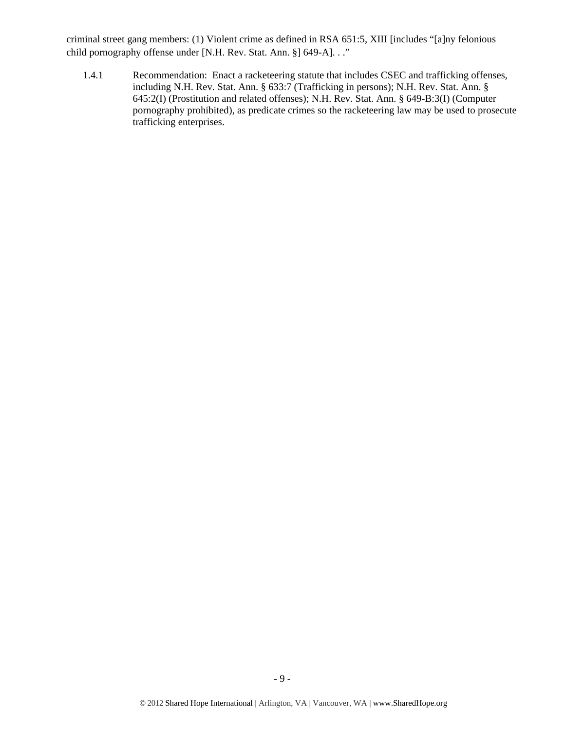criminal street gang members: (1) Violent crime as defined in RSA 651:5, XIII [includes "[a]ny felonious child pornography offense under [N.H. Rev. Stat. Ann. §] 649-A]. . ."

1.4.1 Recommendation: Enact a racketeering statute that includes CSEC and trafficking offenses, including N.H. Rev. Stat. Ann. § 633:7 (Trafficking in persons); N.H. Rev. Stat. Ann. § 645:2(I) (Prostitution and related offenses); N.H. Rev. Stat. Ann. § 649-B:3(I) (Computer pornography prohibited), as predicate crimes so the racketeering law may be used to prosecute trafficking enterprises.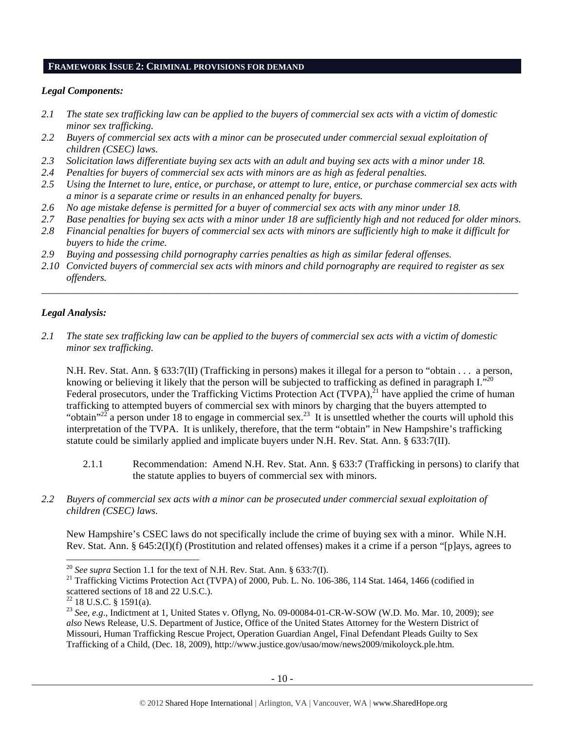#### **FRAMEWORK ISSUE 2: CRIMINAL PROVISIONS FOR DEMAND**

## *Legal Components:*

- *2.1 The state sex trafficking law can be applied to the buyers of commercial sex acts with a victim of domestic minor sex trafficking.*
- *2.2 Buyers of commercial sex acts with a minor can be prosecuted under commercial sexual exploitation of children (CSEC) laws.*
- *2.3 Solicitation laws differentiate buying sex acts with an adult and buying sex acts with a minor under 18.*
- *2.4 Penalties for buyers of commercial sex acts with minors are as high as federal penalties.*
- *2.5 Using the Internet to lure, entice, or purchase, or attempt to lure, entice, or purchase commercial sex acts with a minor is a separate crime or results in an enhanced penalty for buyers.*
- *2.6 No age mistake defense is permitted for a buyer of commercial sex acts with any minor under 18.*
- *2.7 Base penalties for buying sex acts with a minor under 18 are sufficiently high and not reduced for older minors.*
- *2.8 Financial penalties for buyers of commercial sex acts with minors are sufficiently high to make it difficult for buyers to hide the crime.*
- *2.9 Buying and possessing child pornography carries penalties as high as similar federal offenses.*
- *2.10 Convicted buyers of commercial sex acts with minors and child pornography are required to register as sex offenders.*

\_\_\_\_\_\_\_\_\_\_\_\_\_\_\_\_\_\_\_\_\_\_\_\_\_\_\_\_\_\_\_\_\_\_\_\_\_\_\_\_\_\_\_\_\_\_\_\_\_\_\_\_\_\_\_\_\_\_\_\_\_\_\_\_\_\_\_\_\_\_\_\_\_\_\_\_\_\_\_\_\_\_\_\_\_\_\_\_\_\_\_\_\_\_

## *Legal Analysis:*

*2.1 The state sex trafficking law can be applied to the buyers of commercial sex acts with a victim of domestic minor sex trafficking.* 

N.H. Rev. Stat. Ann. § 633:7(II) (Trafficking in persons) makes it illegal for a person to "obtain . . . a person, knowing or believing it likely that the person will be subjected to trafficking as defined in paragraph  $I.^{20}$ . Federal prosecutors, under the Trafficking Victims Protection Act (TVPA),<sup>21</sup> have applied the crime of human trafficking to attempted buyers of commercial sex with minors by charging that the buyers attempted to "obtain"<sup>22</sup> a person under 18 to engage in commercial sex.<sup>23</sup> It is unsettled whether the courts will uphold this interpretation of the TVPA. It is unlikely, therefore, that the term "obtain" in New Hampshire's trafficking statute could be similarly applied and implicate buyers under N.H. Rev. Stat. Ann. § 633:7(II).

- 2.1.1 Recommendation: Amend N.H. Rev. Stat. Ann. § 633:7 (Trafficking in persons) to clarify that the statute applies to buyers of commercial sex with minors.
- *2.2 Buyers of commercial sex acts with a minor can be prosecuted under commercial sexual exploitation of children (CSEC) laws.*

New Hampshire's CSEC laws do not specifically include the crime of buying sex with a minor. While N.H. Rev. Stat. Ann. § 645:2(I)(f) (Prostitution and related offenses) makes it a crime if a person "[p]ays, agrees to

<sup>&</sup>lt;sup>20</sup> See supra Section 1.1 for the text of N.H. Rev. Stat. Ann. § 633:7(I).

<sup>&</sup>lt;sup>21</sup> Trafficking Victims Protection Act (TVPA) of 2000, Pub. L. No. 106-386, 114 Stat. 1464, 1466 (codified in scattered sections of 18 and 22 U.S.C.).

 $22$  18 U.S.C. § 1591(a).

<sup>23</sup> *See, e.g*., Indictment at 1, United States v. Oflyng, No. 09-00084-01-CR-W-SOW (W.D. Mo. Mar. 10, 2009); *see also* News Release, U.S. Department of Justice, Office of the United States Attorney for the Western District of Missouri, Human Trafficking Rescue Project, Operation Guardian Angel, Final Defendant Pleads Guilty to Sex Trafficking of a Child, (Dec. 18, 2009), http://www.justice.gov/usao/mow/news2009/mikoloyck.ple.htm.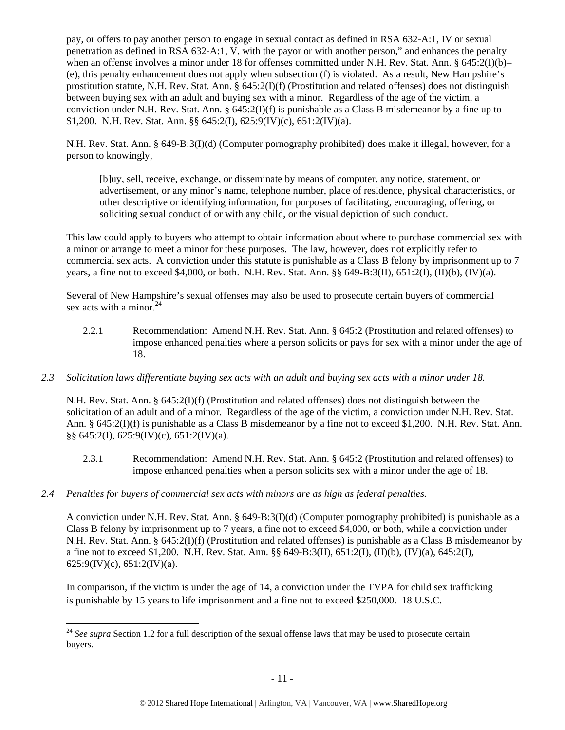pay, or offers to pay another person to engage in sexual contact as defined in RSA 632-A:1, IV or sexual penetration as defined in RSA 632-A:1, V, with the payor or with another person," and enhances the penalty when an offense involves a minor under 18 for offenses committed under N.H. Rev. Stat. Ann. § 645:2(I)(b)– (e), this penalty enhancement does not apply when subsection (f) is violated. As a result, New Hampshire's prostitution statute, N.H. Rev. Stat. Ann. § 645:2(I)(f) (Prostitution and related offenses) does not distinguish between buying sex with an adult and buying sex with a minor. Regardless of the age of the victim, a conviction under N.H. Rev. Stat. Ann. §  $645:2(I)(f)$  is punishable as a Class B misdemeanor by a fine up to \$1,200. N.H. Rev. Stat. Ann. §§ 645:2(I), 625:9(IV)(c), 651:2(IV)(a).

N.H. Rev. Stat. Ann. § 649-B:3(I)(d) (Computer pornography prohibited) does make it illegal, however, for a person to knowingly,

[b]uy, sell, receive, exchange, or disseminate by means of computer, any notice, statement, or advertisement, or any minor's name, telephone number, place of residence, physical characteristics, or other descriptive or identifying information, for purposes of facilitating, encouraging, offering, or soliciting sexual conduct of or with any child, or the visual depiction of such conduct.

This law could apply to buyers who attempt to obtain information about where to purchase commercial sex with a minor or arrange to meet a minor for these purposes. The law, however, does not explicitly refer to commercial sex acts. A conviction under this statute is punishable as a Class B felony by imprisonment up to 7 years, a fine not to exceed \$4,000, or both. N.H. Rev. Stat. Ann. §§ 649-B:3(II), 651:2(I), (II)(b), (IV)(a).

Several of New Hampshire's sexual offenses may also be used to prosecute certain buyers of commercial sex acts with a minor. $^{24}$ 

- 2.2.1 Recommendation: Amend N.H. Rev. Stat. Ann. § 645:2 (Prostitution and related offenses) to impose enhanced penalties where a person solicits or pays for sex with a minor under the age of 18.
- *2.3 Solicitation laws differentiate buying sex acts with an adult and buying sex acts with a minor under 18.*

N.H. Rev. Stat. Ann. § 645:2(I)(f) (Prostitution and related offenses) does not distinguish between the solicitation of an adult and of a minor. Regardless of the age of the victim, a conviction under N.H. Rev. Stat. Ann. § 645:2(I)(f) is punishable as a Class B misdemeanor by a fine not to exceed \$1,200. N.H. Rev. Stat. Ann. §§ 645:2(I), 625:9(IV)(c), 651:2(IV)(a).

- 2.3.1 Recommendation: Amend N.H. Rev. Stat. Ann. § 645:2 (Prostitution and related offenses) to impose enhanced penalties when a person solicits sex with a minor under the age of 18.
- *2.4 Penalties for buyers of commercial sex acts with minors are as high as federal penalties.*

A conviction under N.H. Rev. Stat. Ann. § 649-B:3(I)(d) (Computer pornography prohibited) is punishable as a Class B felony by imprisonment up to 7 years, a fine not to exceed \$4,000, or both, while a conviction under N.H. Rev. Stat. Ann. § 645:2(I)(f) (Prostitution and related offenses) is punishable as a Class B misdemeanor by a fine not to exceed \$1,200. N.H. Rev. Stat. Ann. §§ 649-B:3(II), 651:2(I), (II)(b), (IV)(a), 645:2(I),  $625:9$ (IV)(c),  $651:2$ (IV)(a).

In comparison, if the victim is under the age of 14, a conviction under the TVPA for child sex trafficking is punishable by 15 years to life imprisonment and a fine not to exceed \$250,000. 18 U.S.C.

<sup>-</sup><sup>24</sup> See supra Section 1.2 for a full description of the sexual offense laws that may be used to prosecute certain buyers.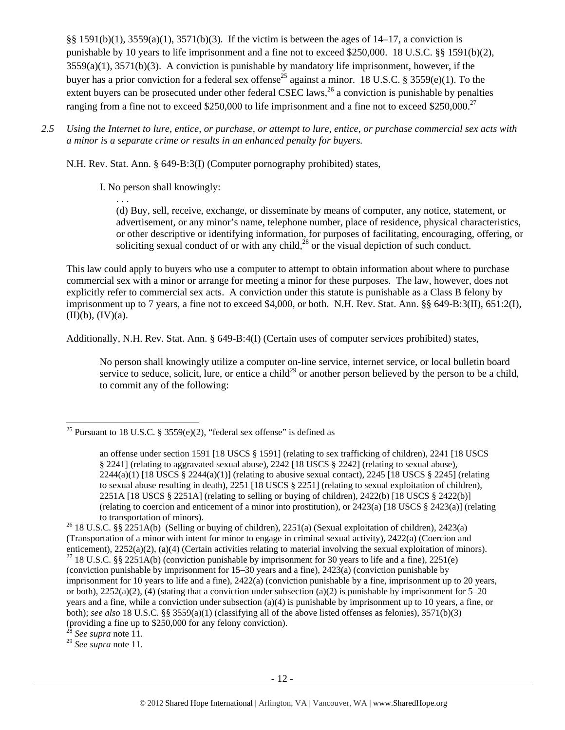§§ 1591(b)(1), 3559(a)(1), 3571(b)(3). If the victim is between the ages of 14–17, a conviction is punishable by 10 years to life imprisonment and a fine not to exceed \$250,000. 18 U.S.C. §§ 1591(b)(2), 3559(a)(1), 3571(b)(3). A conviction is punishable by mandatory life imprisonment, however, if the buyer has a prior conviction for a federal sex offense<sup>25</sup> against a minor. 18 U.S.C. § 3559(e)(1). To the extent buyers can be prosecuted under other federal CSEC laws,  $^{26}$  a conviction is punishable by penalties ranging from a fine not to exceed \$250,000 to life imprisonment and a fine not to exceed \$250,000.<sup>27</sup>

*2.5 Using the Internet to lure, entice, or purchase, or attempt to lure, entice, or purchase commercial sex acts with a minor is a separate crime or results in an enhanced penalty for buyers.* 

N.H. Rev. Stat. Ann. § 649-B:3(I) (Computer pornography prohibited) states,

# I. No person shall knowingly:

. . .

(d) Buy, sell, receive, exchange, or disseminate by means of computer, any notice, statement, or advertisement, or any minor's name, telephone number, place of residence, physical characteristics, or other descriptive or identifying information, for purposes of facilitating, encouraging, offering, or soliciting sexual conduct of or with any child,  $^{28}$  or the visual depiction of such conduct.

This law could apply to buyers who use a computer to attempt to obtain information about where to purchase commercial sex with a minor or arrange for meeting a minor for these purposes. The law, however, does not explicitly refer to commercial sex acts. A conviction under this statute is punishable as a Class B felony by imprisonment up to 7 years, a fine not to exceed \$4,000, or both. N.H. Rev. Stat. Ann. §§ 649-B:3(II), 651:2(I),  $(II)(b)$ ,  $(IV)(a)$ .

Additionally, N.H. Rev. Stat. Ann. § 649-B:4(I) (Certain uses of computer services prohibited) states,

No person shall knowingly utilize a computer on-line service, internet service, or local bulletin board service to seduce, solicit, lure, or entice a child<sup>29</sup> or another person believed by the person to be a child, to commit any of the following:

See supra note 11.

l

<sup>29</sup> *See supra* note 11.

<sup>&</sup>lt;sup>25</sup> Pursuant to 18 U.S.C. § 3559(e)(2), "federal sex offense" is defined as

an offense under section 1591 [18 USCS § 1591] (relating to sex trafficking of children), 2241 [18 USCS § 2241] (relating to aggravated sexual abuse), 2242 [18 USCS § 2242] (relating to sexual abuse),  $2244(a)(1)$  [18 USCS §  $2244(a)(1)$ ] (relating to abusive sexual contact),  $2245$  [18 USCS § 2245] (relating to sexual abuse resulting in death), 2251 [18 USCS § 2251] (relating to sexual exploitation of children), 2251A [18 USCS § 2251A] (relating to selling or buying of children), 2422(b) [18 USCS § 2422(b)] (relating to coercion and enticement of a minor into prostitution), or 2423(a) [18 USCS § 2423(a)] (relating to transportation of minors).<br><sup>26</sup> 18 U.S.C. §§ 2251A(b) (Selling or buying of children), 2251(a) (Sexual exploitation of children), 2423(a)

<sup>(</sup>Transportation of a minor with intent for minor to engage in criminal sexual activity), 2422(a) (Coercion and enticement), 2252(a)(2), (a)(4) (Certain activities relating to material involving the sexual exploitation of minors). <sup>27</sup> 18 U.S.C. §§ 2251A(b) (conviction punishable by imprisonment for 30 years to life and a fine), 22 (conviction punishable by imprisonment for 15–30 years and a fine), 2423(a) (conviction punishable by imprisonment for 10 years to life and a fine), 2422(a) (conviction punishable by a fine, imprisonment up to 20 years, or both),  $2252(a)(2)$ , (4) (stating that a conviction under subsection (a)(2) is punishable by imprisonment for 5–20 years and a fine, while a conviction under subsection (a)(4) is punishable by imprisonment up to 10 years, a fine, or both); *see also* 18 U.S.C. §§ 3559(a)(1) (classifying all of the above listed offenses as felonies), 3571(b)(3) (providing a fine up to \$250,000 for any felony conviction).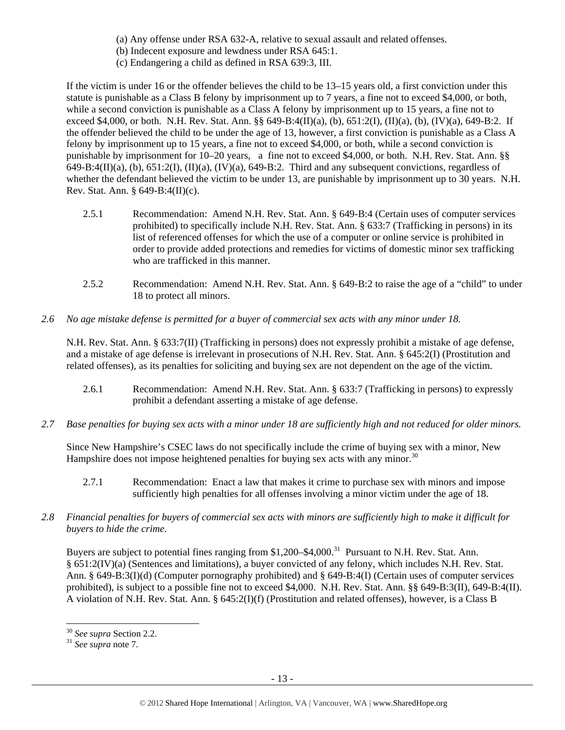- (a) Any offense under RSA 632-A, relative to sexual assault and related offenses.
- (b) Indecent exposure and lewdness under RSA 645:1.
- (c) Endangering a child as defined in RSA 639:3, III.

If the victim is under 16 or the offender believes the child to be 13–15 years old, a first conviction under this statute is punishable as a Class B felony by imprisonment up to 7 years, a fine not to exceed \$4,000, or both, while a second conviction is punishable as a Class A felony by imprisonment up to 15 years, a fine not to exceed \$4,000, or both. N.H. Rev. Stat. Ann. §§ 649-B:4(II)(a), (b), 651:2(I), (II)(a), (b), (IV)(a), 649-B:2. If the offender believed the child to be under the age of 13, however, a first conviction is punishable as a Class A felony by imprisonment up to 15 years, a fine not to exceed \$4,000, or both, while a second conviction is punishable by imprisonment for 10–20 years, a fine not to exceed \$4,000, or both. N.H. Rev. Stat. Ann. §§  $649-B:4(II)(a)$ ,  $(b)$ ,  $651:2(I)$ ,  $(II)(a)$ ,  $(IV)(a)$ ,  $649-B:2$ . Third and any subsequent convictions, regardless of whether the defendant believed the victim to be under 13, are punishable by imprisonment up to 30 years. N.H. Rev. Stat. Ann. § 649-B:4(II)(c).

- 2.5.1 Recommendation: Amend N.H. Rev. Stat. Ann. § 649-B:4 (Certain uses of computer services prohibited) to specifically include N.H. Rev. Stat. Ann. § 633:7 (Trafficking in persons) in its list of referenced offenses for which the use of a computer or online service is prohibited in order to provide added protections and remedies for victims of domestic minor sex trafficking who are trafficked in this manner.
- 2.5.2 Recommendation: Amend N.H. Rev. Stat. Ann. § 649-B:2 to raise the age of a "child" to under 18 to protect all minors.
- *2.6 No age mistake defense is permitted for a buyer of commercial sex acts with any minor under 18.*

N.H. Rev. Stat. Ann. § 633:7(II) (Trafficking in persons) does not expressly prohibit a mistake of age defense, and a mistake of age defense is irrelevant in prosecutions of N.H. Rev. Stat. Ann. § 645:2(I) (Prostitution and related offenses), as its penalties for soliciting and buying sex are not dependent on the age of the victim.

- 2.6.1 Recommendation: Amend N.H. Rev. Stat. Ann. § 633:7 (Trafficking in persons) to expressly prohibit a defendant asserting a mistake of age defense.
- *2.7 Base penalties for buying sex acts with a minor under 18 are sufficiently high and not reduced for older minors.*

Since New Hampshire's CSEC laws do not specifically include the crime of buying sex with a minor, New Hampshire does not impose heightened penalties for buying sex acts with any minor.<sup>30</sup>

- 2.7.1 Recommendation: Enact a law that makes it crime to purchase sex with minors and impose sufficiently high penalties for all offenses involving a minor victim under the age of 18.
- *2.8 Financial penalties for buyers of commercial sex acts with minors are sufficiently high to make it difficult for buyers to hide the crime.*

Buyers are subject to potential fines ranging from \$1,200–\$4,000.<sup>31</sup> Pursuant to N.H. Rev. Stat. Ann. § 651:2(IV)(a) (Sentences and limitations), a buyer convicted of any felony, which includes N.H. Rev. Stat. Ann. § 649-B:3(I)(d) (Computer pornography prohibited) and § 649-B:4(I) (Certain uses of computer services prohibited), is subject to a possible fine not to exceed \$4,000. N.H. Rev. Stat. Ann. §§ 649-B:3(II), 649-B:4(II). A violation of N.H. Rev. Stat. Ann. § 645:2(I)(f) (Prostitution and related offenses), however, is a Class B

-

<sup>30</sup> *See supra* Section 2.2. 31 *See supra* note 7.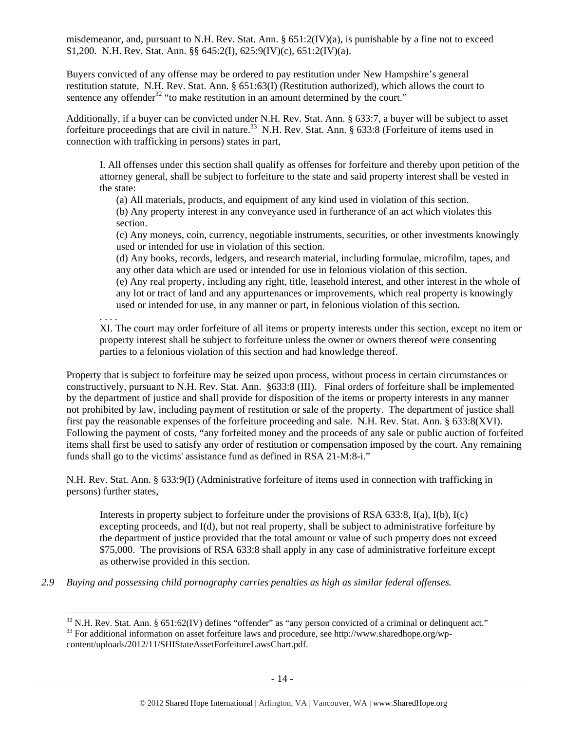misdemeanor, and, pursuant to N.H. Rev. Stat. Ann.  $\S 651:2(IV)(a)$ , is punishable by a fine not to exceed \$1,200. N.H. Rev. Stat. Ann. §§ 645:2(I), 625:9(IV)(c), 651:2(IV)(a).

Buyers convicted of any offense may be ordered to pay restitution under New Hampshire's general restitution statute, N.H. Rev. Stat. Ann. § 651:63(I) (Restitution authorized), which allows the court to sentence any offender<sup>32</sup> "to make restitution in an amount determined by the court."

Additionally, if a buyer can be convicted under N.H. Rev. Stat. Ann. § 633:7, a buyer will be subject to asset forfeiture proceedings that are civil in nature.<sup>33</sup> N.H. Rev. Stat. Ann. § 633:8 (Forfeiture of items used in connection with trafficking in persons) states in part,

I. All offenses under this section shall qualify as offenses for forfeiture and thereby upon petition of the attorney general, shall be subject to forfeiture to the state and said property interest shall be vested in the state:

(a) All materials, products, and equipment of any kind used in violation of this section.

(b) Any property interest in any conveyance used in furtherance of an act which violates this section.

(c) Any moneys, coin, currency, negotiable instruments, securities, or other investments knowingly used or intended for use in violation of this section.

(d) Any books, records, ledgers, and research material, including formulae, microfilm, tapes, and any other data which are used or intended for use in felonious violation of this section.

(e) Any real property, including any right, title, leasehold interest, and other interest in the whole of any lot or tract of land and any appurtenances or improvements, which real property is knowingly used or intended for use, in any manner or part, in felonious violation of this section.

. . . .

l

XI. The court may order forfeiture of all items or property interests under this section, except no item or property interest shall be subject to forfeiture unless the owner or owners thereof were consenting parties to a felonious violation of this section and had knowledge thereof.

Property that is subject to forfeiture may be seized upon process, without process in certain circumstances or constructively, pursuant to N.H. Rev. Stat. Ann. §633:8 (III). Final orders of forfeiture shall be implemented by the department of justice and shall provide for disposition of the items or property interests in any manner not prohibited by law, including payment of restitution or sale of the property. The department of justice shall first pay the reasonable expenses of the forfeiture proceeding and sale. N.H. Rev. Stat. Ann. § 633:8(XVI). Following the payment of costs, "any forfeited money and the proceeds of any sale or public auction of forfeited items shall first be used to satisfy any order of restitution or compensation imposed by the court. Any remaining funds shall go to the victims' assistance fund as defined in RSA 21-M:8-i."

N.H. Rev. Stat. Ann. § 633:9(I) (Administrative forfeiture of items used in connection with trafficking in persons) further states,

Interests in property subject to forfeiture under the provisions of RSA 633:8, I(a), I(b), I(c) excepting proceeds, and I(d), but not real property, shall be subject to administrative forfeiture by the department of justice provided that the total amount or value of such property does not exceed \$75,000. The provisions of RSA 633:8 shall apply in any case of administrative forfeiture except as otherwise provided in this section.

*2.9 Buying and possessing child pornography carries penalties as high as similar federal offenses.* 

 $32$  N.H. Rev. Stat. Ann. § 651:62(IV) defines "offender" as "any person convicted of a criminal or delinquent act."

<sup>&</sup>lt;sup>33</sup> For additional information on asset forfeiture laws and procedure, see http://www.sharedhope.org/wpcontent/uploads/2012/11/SHIStateAssetForfeitureLawsChart.pdf.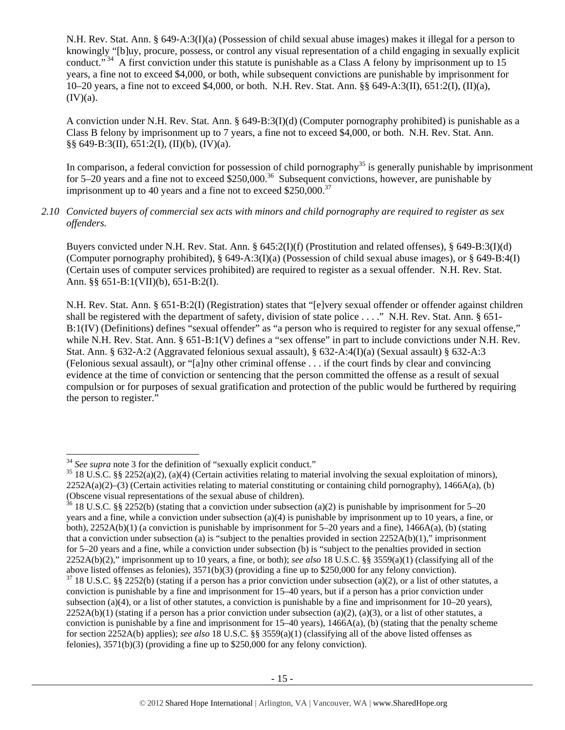N.H. Rev. Stat. Ann. § 649-A:3(I)(a) (Possession of child sexual abuse images) makes it illegal for a person to knowingly "[b]uy, procure, possess, or control any visual representation of a child engaging in sexually explicit conduct."<sup>34</sup> A first conviction under this statute is punishable as a Class A felony by imprisonment up to  $15$ years, a fine not to exceed \$4,000, or both, while subsequent convictions are punishable by imprisonment for 10–20 years, a fine not to exceed \$4,000, or both. N.H. Rev. Stat. Ann. §§ 649-A:3(II), 651:2(I), (II)(a),  $(IV)(a)$ .

A conviction under N.H. Rev. Stat. Ann. § 649-B:3(I)(d) (Computer pornography prohibited) is punishable as a Class B felony by imprisonment up to 7 years, a fine not to exceed \$4,000, or both. N.H. Rev. Stat. Ann. §§ 649-B:3(II), 651:2(I), (II)(b), (IV)(a).

In comparison, a federal conviction for possession of child pornography<sup>35</sup> is generally punishable by imprisonment for  $5-20$  years and a fine not to exceed  $$250,000.<sup>36</sup>$  Subsequent convictions, however, are punishable by imprisonment up to 40 years and a fine not to exceed  $$250,000.<sup>37</sup>$ 

*2.10 Convicted buyers of commercial sex acts with minors and child pornography are required to register as sex offenders.* 

Buyers convicted under N.H. Rev. Stat. Ann. § 645:2(I)(f) (Prostitution and related offenses), § 649-B:3(I)(d) (Computer pornography prohibited), § 649-A:3(I)(a) (Possession of child sexual abuse images), or § 649-B:4(I) (Certain uses of computer services prohibited) are required to register as a sexual offender. N.H. Rev. Stat. Ann. §§ 651-B:1(VII)(b), 651-B:2(I).

N.H. Rev. Stat. Ann. § 651-B:2(I) (Registration) states that "[e]very sexual offender or offender against children shall be registered with the department of safety, division of state police . . . ." N.H. Rev. Stat. Ann. § 651-B:1(IV) (Definitions) defines "sexual offender" as "a person who is required to register for any sexual offense," while N.H. Rev. Stat. Ann. § 651-B:1(V) defines a "sex offense" in part to include convictions under N.H. Rev. Stat. Ann. § 632-A:2 (Aggravated felonious sexual assault), § 632-A:4(I)(a) (Sexual assault) § 632-A:3 (Felonious sexual assault), or "[a]ny other criminal offense . . . if the court finds by clear and convincing evidence at the time of conviction or sentencing that the person committed the offense as a result of sexual compulsion or for purposes of sexual gratification and protection of the public would be furthered by requiring the person to register."

 $34$  See supra note 3 for the definition of "sexually explicit conduct."

<sup>&</sup>lt;sup>35</sup> 18 U.S.C. §§ 2252(a)(2), (a)(4) (Certain activities relating to material involving the sexual exploitation of minors),  $2252A(a)(2)$ –(3) (Certain activities relating to material constituting or containing child pornography), 1466A(a), (b) (Obscene visual representations of the sexual abuse of children).

<sup>&</sup>lt;sup>36</sup> 18 U.S.C. §§ 2252(b) (stating that a conviction under subsection (a)(2) is punishable by imprisonment for 5–20 years and a fine, while a conviction under subsection (a)(4) is punishable by imprisonment up to 10 years, a fine, or both), 2252A(b)(1) (a conviction is punishable by imprisonment for 5–20 years and a fine), 1466A(a), (b) (stating that a conviction under subsection (a) is "subject to the penalties provided in section  $2252A(b)(1)$ ," imprisonment for 5–20 years and a fine, while a conviction under subsection (b) is "subject to the penalties provided in section 2252A(b)(2)," imprisonment up to 10 years, a fine, or both); *see also* 18 U.S.C. §§ 3559(a)(1) (classifying all of the above listed offenses as felonies), 3571(b)(3) (providing a fine up to \$250,000 for any felony conviction).  $37$  18 U.S.C. §§ 2252(b) (stating if a person has a prior conviction under subsection (a)(2), or a list of other statutes, a conviction is punishable by a fine and imprisonment for 15–40 years, but if a person has a prior conviction under subsection (a)(4), or a list of other statutes, a conviction is punishable by a fine and imprisonment for  $10-20$  years),  $2252A(b)(1)$  (stating if a person has a prior conviction under subsection (a)(2), (a)(3), or a list of other statutes, a conviction is punishable by a fine and imprisonment for  $15-40$  years),  $1466A(a)$ , (b) (stating that the penalty scheme for section 2252A(b) applies); *see also* 18 U.S.C. §§ 3559(a)(1) (classifying all of the above listed offenses as felonies), 3571(b)(3) (providing a fine up to \$250,000 for any felony conviction).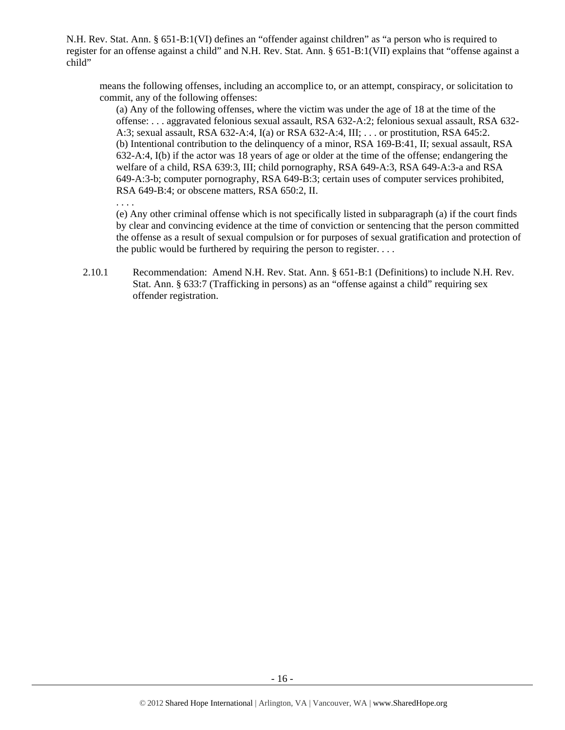N.H. Rev. Stat. Ann. § 651-B:1(VI) defines an "offender against children" as "a person who is required to register for an offense against a child" and N.H. Rev. Stat. Ann. § 651-B:1(VII) explains that "offense against a child"

means the following offenses, including an accomplice to, or an attempt, conspiracy, or solicitation to commit, any of the following offenses:

(a) Any of the following offenses, where the victim was under the age of 18 at the time of the offense: . . . aggravated felonious sexual assault, RSA 632-A:2; felonious sexual assault, RSA 632- A:3; sexual assault, RSA 632-A:4, I(a) or RSA 632-A:4, III; . . . or prostitution, RSA 645:2. (b) Intentional contribution to the delinquency of a minor, RSA 169-B:41, II; sexual assault, RSA 632-A:4, I(b) if the actor was 18 years of age or older at the time of the offense; endangering the welfare of a child, RSA 639:3, III; child pornography, RSA 649-A:3, RSA 649-A:3-a and RSA 649-A:3-b; computer pornography, RSA 649-B:3; certain uses of computer services prohibited, RSA 649-B:4; or obscene matters, RSA 650:2, II.

. . . .

(e) Any other criminal offense which is not specifically listed in subparagraph (a) if the court finds by clear and convincing evidence at the time of conviction or sentencing that the person committed the offense as a result of sexual compulsion or for purposes of sexual gratification and protection of the public would be furthered by requiring the person to register. . . .

2.10.1 Recommendation: Amend N.H. Rev. Stat. Ann. § 651-B:1 (Definitions) to include N.H. Rev. Stat. Ann. § 633:7 (Trafficking in persons) as an "offense against a child" requiring sex offender registration.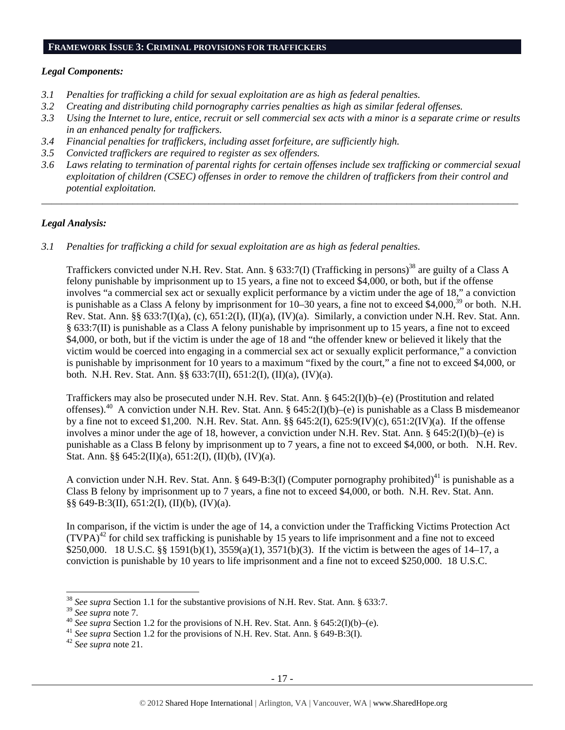#### **FRAMEWORK ISSUE 3: CRIMINAL PROVISIONS FOR TRAFFICKERS**

#### *Legal Components:*

- *3.1 Penalties for trafficking a child for sexual exploitation are as high as federal penalties.*
- *3.2 Creating and distributing child pornography carries penalties as high as similar federal offenses.*
- *3.3 Using the Internet to lure, entice, recruit or sell commercial sex acts with a minor is a separate crime or results in an enhanced penalty for traffickers.*
- *3.4 Financial penalties for traffickers, including asset forfeiture, are sufficiently high.*
- *3.5 Convicted traffickers are required to register as sex offenders.*
- *3.6 Laws relating to termination of parental rights for certain offenses include sex trafficking or commercial sexual exploitation of children (CSEC) offenses in order to remove the children of traffickers from their control and potential exploitation.*

*\_\_\_\_\_\_\_\_\_\_\_\_\_\_\_\_\_\_\_\_\_\_\_\_\_\_\_\_\_\_\_\_\_\_\_\_\_\_\_\_\_\_\_\_\_\_\_\_\_\_\_\_\_\_\_\_\_\_\_\_\_\_\_\_\_\_\_\_\_\_\_\_\_\_\_\_\_\_\_\_\_\_\_\_\_\_\_\_\_\_\_\_\_\_* 

## *Legal Analysis:*

*3.1 Penalties for trafficking a child for sexual exploitation are as high as federal penalties.* 

Traffickers convicted under N.H. Rev. Stat. Ann. § 633:7(I) (Trafficking in persons)<sup>38</sup> are guilty of a Class A felony punishable by imprisonment up to 15 years, a fine not to exceed \$4,000, or both, but if the offense involves "a commercial sex act or sexually explicit performance by a victim under the age of 18," a conviction is punishable as a Class A felony by imprisonment for 10–30 years, a fine not to exceed \$4,000,<sup>39</sup> or both. N.H. Rev. Stat. Ann. §§ 633:7(I)(a), (c), 651:2(I), (II)(a), (IV)(a). Similarly, a conviction under N.H. Rev. Stat. Ann. § 633:7(II) is punishable as a Class A felony punishable by imprisonment up to 15 years, a fine not to exceed \$4,000, or both, but if the victim is under the age of 18 and "the offender knew or believed it likely that the victim would be coerced into engaging in a commercial sex act or sexually explicit performance," a conviction is punishable by imprisonment for 10 years to a maximum "fixed by the court," a fine not to exceed \$4,000, or both. N.H. Rev. Stat. Ann. §§ 633:7(II), 651:2(I), (II)(a), (IV)(a).

Traffickers may also be prosecuted under N.H. Rev. Stat. Ann. § 645:2(I)(b)–(e) (Prostitution and related offenses).<sup>40</sup> A conviction under N.H. Rev. Stat. Ann. § 645:2(I)(b)–(e) is punishable as a Class B misdemeanor by a fine not to exceed \$1,200. N.H. Rev. Stat. Ann. §§ 645:2(I), 625:9(IV)(c), 651:2(IV)(a). If the offense involves a minor under the age of 18, however, a conviction under N.H. Rev. Stat. Ann. § 645:2(I)(b)–(e) is punishable as a Class B felony by imprisonment up to 7 years, a fine not to exceed \$4,000, or both. N.H. Rev. Stat. Ann. §§  $645:2(II)(a)$ ,  $651:2(I)$ ,  $(II)(b)$ ,  $(IV)(a)$ .

A conviction under N.H. Rev. Stat. Ann. § 649-B:3(I) (Computer pornography prohibited)<sup>41</sup> is punishable as a Class B felony by imprisonment up to 7 years, a fine not to exceed \$4,000, or both. N.H. Rev. Stat. Ann. §§ 649-B:3(II), 651:2(I), (II)(b), (IV)(a).

In comparison, if the victim is under the age of 14, a conviction under the Trafficking Victims Protection Act  $(TVPA)^{42}$  for child sex trafficking is punishable by 15 years to life imprisonment and a fine not to exceed \$250,000. 18 U.S.C. §§ 1591(b)(1), 3559(a)(1), 3571(b)(3). If the victim is between the ages of 14–17, a conviction is punishable by 10 years to life imprisonment and a fine not to exceed \$250,000. 18 U.S.C.

-

<sup>38</sup> *See supra* Section 1.1 for the substantive provisions of N.H. Rev. Stat. Ann. § 633:7.

<sup>&</sup>lt;sup>39</sup> See supra note 7.<br><sup>40</sup> See supra Section 1.2 for the provisions of N.H. Rev. Stat. Ann. § 645:2(I)(b)–(e).<br><sup>41</sup> See supra Section 1.2 for the provisions of N.H. Rev. Stat. Ann. § 649-B:3(I).<br><sup>42</sup> See supra note 21.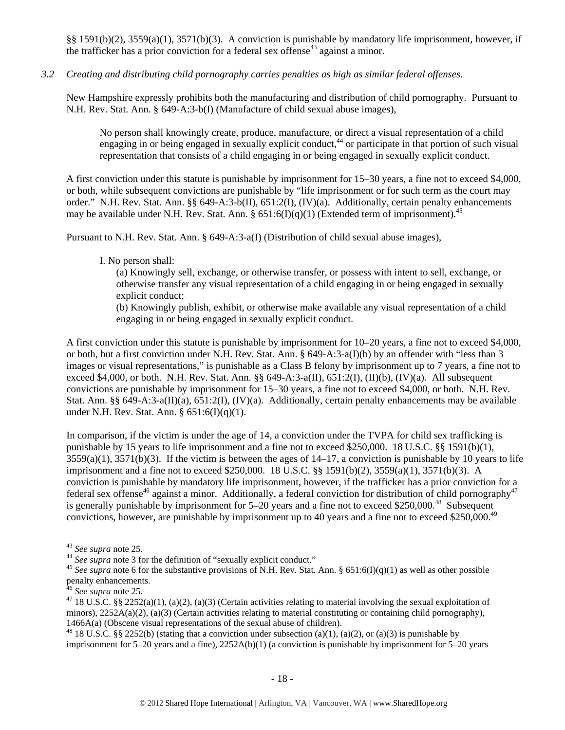§§ 1591(b)(2), 3559(a)(1), 3571(b)(3). A conviction is punishable by mandatory life imprisonment, however, if the trafficker has a prior conviction for a federal sex offense<sup>43</sup> against a minor.

## *3.2 Creating and distributing child pornography carries penalties as high as similar federal offenses.*

New Hampshire expressly prohibits both the manufacturing and distribution of child pornography. Pursuant to N.H. Rev. Stat. Ann. § 649-A:3-b(I) (Manufacture of child sexual abuse images),

No person shall knowingly create, produce, manufacture, or direct a visual representation of a child engaging in or being engaged in sexually explicit conduct,  $44$  or participate in that portion of such visual representation that consists of a child engaging in or being engaged in sexually explicit conduct.

A first conviction under this statute is punishable by imprisonment for 15–30 years, a fine not to exceed \$4,000, or both, while subsequent convictions are punishable by "life imprisonment or for such term as the court may order." N.H. Rev. Stat. Ann. §§ 649-A:3-b(II), 651:2(I), (IV)(a). Additionally, certain penalty enhancements may be available under N.H. Rev. Stat. Ann. §  $651:6(I)(q)(1)$  (Extended term of imprisonment).<sup>45</sup>

Pursuant to N.H. Rev. Stat. Ann. § 649-A:3-a(I) (Distribution of child sexual abuse images),

#### I. No person shall:

(a) Knowingly sell, exchange, or otherwise transfer, or possess with intent to sell, exchange, or otherwise transfer any visual representation of a child engaging in or being engaged in sexually explicit conduct;

(b) Knowingly publish, exhibit, or otherwise make available any visual representation of a child engaging in or being engaged in sexually explicit conduct.

A first conviction under this statute is punishable by imprisonment for 10–20 years, a fine not to exceed \$4,000, or both, but a first conviction under N.H. Rev. Stat. Ann. § 649-A:3-a(I)(b) by an offender with "less than 3 images or visual representations," is punishable as a Class B felony by imprisonment up to 7 years, a fine not to exceed \$4,000, or both. N.H. Rev. Stat. Ann. §§ 649-A:3-a(II), 651:2(I), (II)(b), (IV)(a). All subsequent convictions are punishable by imprisonment for 15–30 years, a fine not to exceed \$4,000, or both. N.H. Rev. Stat. Ann. §§ 649-A:3-a(II)(a), 651:2(I), (IV)(a). Additionally, certain penalty enhancements may be available under N.H. Rev. Stat. Ann. § 651:6(I)(q)(1).

In comparison, if the victim is under the age of 14, a conviction under the TVPA for child sex trafficking is punishable by 15 years to life imprisonment and a fine not to exceed \$250,000. 18 U.S.C. §§ 1591(b)(1),  $3559(a)(1)$ ,  $3571(b)(3)$ . If the victim is between the ages of  $14-17$ , a conviction is punishable by 10 years to life imprisonment and a fine not to exceed \$250,000. 18 U.S.C. §§ 1591(b)(2), 3559(a)(1), 3571(b)(3). A conviction is punishable by mandatory life imprisonment, however, if the trafficker has a prior conviction for a federal sex offense<sup>46</sup> against a minor. Additionally, a federal conviction for distribution of child pornography<sup>47</sup> is generally punishable by imprisonment for  $5-20$  years and a fine not to exceed \$250,000.<sup>48</sup> Subsequent convictions, however, are punishable by imprisonment up to 40 years and a fine not to exceed \$250,000.<sup>49</sup>

l

<sup>48</sup> 18 U.S.C. §§ 2252(b) (stating that a conviction under subsection (a)(1), (a)(2), or (a)(3) is punishable by imprisonment for 5–20 years and a fine), 2252A(b)(1) (a conviction is punishable by imprisonment for 5–20 years

<sup>&</sup>lt;sup>43</sup> See supra note 25.<br><sup>44</sup> See supra note 3 for the definition of "sexually explicit conduct."<br><sup>45</sup> See supra note 6 for the substantive provisions of N.H. Rev. Stat. Ann. § 651:6(I)(q)(1) as well as other possible penalty enhancements.<br><sup>46</sup> See supra note 25.

<sup>&</sup>lt;sup>47</sup> 18 U.S.C. §§ 2252(a)(1), (a)(2), (a)(3) (Certain activities relating to material involving the sexual exploitation of minors), 2252A(a)(2), (a)(3) (Certain activities relating to material constituting or containing child pornography), 1466A(a) (Obscene visual representations of the sexual abuse of children).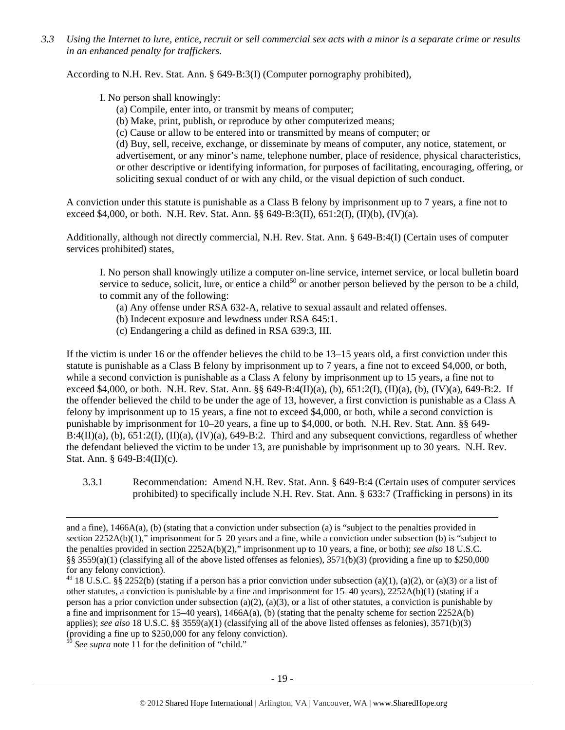*3.3 Using the Internet to lure, entice, recruit or sell commercial sex acts with a minor is a separate crime or results in an enhanced penalty for traffickers.* 

According to N.H. Rev. Stat. Ann. § 649-B:3(I) (Computer pornography prohibited),

I. No person shall knowingly:

- (a) Compile, enter into, or transmit by means of computer;
- (b) Make, print, publish, or reproduce by other computerized means;
- (c) Cause or allow to be entered into or transmitted by means of computer; or

(d) Buy, sell, receive, exchange, or disseminate by means of computer, any notice, statement, or advertisement, or any minor's name, telephone number, place of residence, physical characteristics, or other descriptive or identifying information, for purposes of facilitating, encouraging, offering, or soliciting sexual conduct of or with any child, or the visual depiction of such conduct.

A conviction under this statute is punishable as a Class B felony by imprisonment up to 7 years, a fine not to exceed \$4,000, or both. N.H. Rev. Stat. Ann. §§ 649-B:3(II), 651:2(I), (II)(b), (IV)(a).

Additionally, although not directly commercial, N.H. Rev. Stat. Ann. § 649-B:4(I) (Certain uses of computer services prohibited) states,

I. No person shall knowingly utilize a computer on-line service, internet service, or local bulletin board service to seduce, solicit, lure, or entice a child<sup>50</sup> or another person believed by the person to be a child, to commit any of the following:

- (a) Any offense under RSA 632-A, relative to sexual assault and related offenses.
- (b) Indecent exposure and lewdness under RSA 645:1.
- (c) Endangering a child as defined in RSA 639:3, III.

If the victim is under 16 or the offender believes the child to be 13–15 years old, a first conviction under this statute is punishable as a Class B felony by imprisonment up to 7 years, a fine not to exceed \$4,000, or both, while a second conviction is punishable as a Class A felony by imprisonment up to 15 years, a fine not to exceed \$4,000, or both. N.H. Rev. Stat. Ann. §§ 649-B:4(II)(a), (b), 651:2(I), (II)(a), (b), (IV)(a), 649-B:2. If the offender believed the child to be under the age of 13, however, a first conviction is punishable as a Class A felony by imprisonment up to 15 years, a fine not to exceed \$4,000, or both, while a second conviction is punishable by imprisonment for 10–20 years, a fine up to \$4,000, or both. N.H. Rev. Stat. Ann. §§ 649-  $B:4(II)(a)$ , (b),  $651:2(I)$ ,  $(II)(a)$ ,  $(IV)(a)$ ,  $649-B:2$ . Third and any subsequent convictions, regardless of whether the defendant believed the victim to be under 13, are punishable by imprisonment up to 30 years. N.H. Rev. Stat. Ann. § 649-B:4(II)(c).

3.3.1 Recommendation: Amend N.H. Rev. Stat. Ann. § 649-B:4 (Certain uses of computer services prohibited) to specifically include N.H. Rev. Stat. Ann. § 633:7 (Trafficking in persons) in its

<sup>50</sup> See supra note 11 for the definition of "child."

1

and a fine), 1466A(a), (b) (stating that a conviction under subsection (a) is "subject to the penalties provided in section 2252A(b)(1)," imprisonment for 5–20 years and a fine, while a conviction under subsection (b) is "subject to the penalties provided in section 2252A(b)(2)," imprisonment up to 10 years, a fine, or both); *see also* 18 U.S.C. §§ 3559(a)(1) (classifying all of the above listed offenses as felonies),  $3571(b)(3)$  (providing a fine up to \$250,000 for any felony conviction).

<sup>&</sup>lt;sup>49</sup> 18 U.S.C. §§ 2252(b) (stating if a person has a prior conviction under subsection (a)(1), (a)(2), or (a)(3) or a list of other statutes, a conviction is punishable by a fine and imprisonment for 15–40 years), 2252A(b)(1) (stating if a person has a prior conviction under subsection (a)(2), (a)(3), or a list of other statutes, a conviction is punishable by a fine and imprisonment for 15–40 years), 1466A(a), (b) (stating that the penalty scheme for section 2252A(b) applies); *see also* 18 U.S.C. §§ 3559(a)(1) (classifying all of the above listed offenses as felonies), 3571(b)(3) (providing a fine up to \$250,000 for any felony conviction).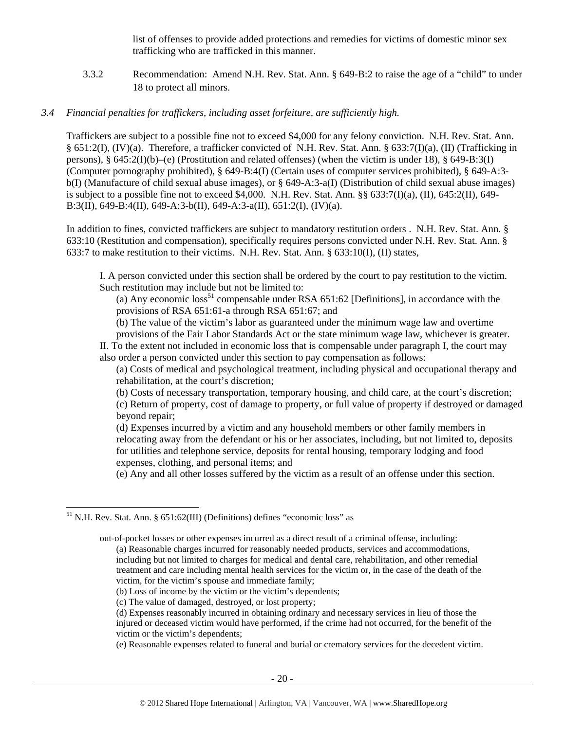list of offenses to provide added protections and remedies for victims of domestic minor sex trafficking who are trafficked in this manner.

3.3.2 Recommendation: Amend N.H. Rev. Stat. Ann. § 649-B:2 to raise the age of a "child" to under 18 to protect all minors.

#### *3.4 Financial penalties for traffickers, including asset forfeiture, are sufficiently high.*

Traffickers are subject to a possible fine not to exceed \$4,000 for any felony conviction. N.H. Rev. Stat. Ann. § 651:2(I), (IV)(a). Therefore, a trafficker convicted of N.H. Rev. Stat. Ann. § 633:7(I)(a), (II) (Trafficking in persons), §  $645:2(I)(b)$ –(e) (Prostitution and related offenses) (when the victim is under 18), §  $649-B:3(I)$ (Computer pornography prohibited), § 649-B:4(I) (Certain uses of computer services prohibited), § 649-A:3 b(I) (Manufacture of child sexual abuse images), or § 649-A:3-a(I) (Distribution of child sexual abuse images) is subject to a possible fine not to exceed \$4,000. N.H. Rev. Stat. Ann. §§ 633:7(I)(a), (II), 645:2(II), 649- B:3(II), 649-B:4(II), 649-A:3-b(II), 649-A:3-a(II), 651:2(I), (IV)(a).

In addition to fines, convicted traffickers are subject to mandatory restitution orders . N.H. Rev. Stat. Ann. § 633:10 (Restitution and compensation), specifically requires persons convicted under N.H. Rev. Stat. Ann. § 633:7 to make restitution to their victims. N.H. Rev. Stat. Ann. § 633:10(I), (II) states,

I. A person convicted under this section shall be ordered by the court to pay restitution to the victim. Such restitution may include but not be limited to:

(a) Any economic loss<sup>51</sup> compensable under RSA  $651:62$  [Definitions], in accordance with the provisions of RSA 651:61-a through RSA 651:67; and

(b) The value of the victim's labor as guaranteed under the minimum wage law and overtime

provisions of the Fair Labor Standards Act or the state minimum wage law, whichever is greater. II. To the extent not included in economic loss that is compensable under paragraph I, the court may also order a person convicted under this section to pay compensation as follows:

(a) Costs of medical and psychological treatment, including physical and occupational therapy and rehabilitation, at the court's discretion;

(b) Costs of necessary transportation, temporary housing, and child care, at the court's discretion; (c) Return of property, cost of damage to property, or full value of property if destroyed or damaged beyond repair;

(d) Expenses incurred by a victim and any household members or other family members in relocating away from the defendant or his or her associates, including, but not limited to, deposits for utilities and telephone service, deposits for rental housing, temporary lodging and food expenses, clothing, and personal items; and

(e) Any and all other losses suffered by the victim as a result of an offense under this section.

1

 $51$  N.H. Rev. Stat. Ann. § 651:62(III) (Definitions) defines "economic loss" as

out-of-pocket losses or other expenses incurred as a direct result of a criminal offense, including: (a) Reasonable charges incurred for reasonably needed products, services and accommodations, including but not limited to charges for medical and dental care, rehabilitation, and other remedial treatment and care including mental health services for the victim or, in the case of the death of the victim, for the victim's spouse and immediate family;

<sup>(</sup>b) Loss of income by the victim or the victim's dependents;

<sup>(</sup>c) The value of damaged, destroyed, or lost property;

<sup>(</sup>d) Expenses reasonably incurred in obtaining ordinary and necessary services in lieu of those the injured or deceased victim would have performed, if the crime had not occurred, for the benefit of the victim or the victim's dependents;

<sup>(</sup>e) Reasonable expenses related to funeral and burial or crematory services for the decedent victim.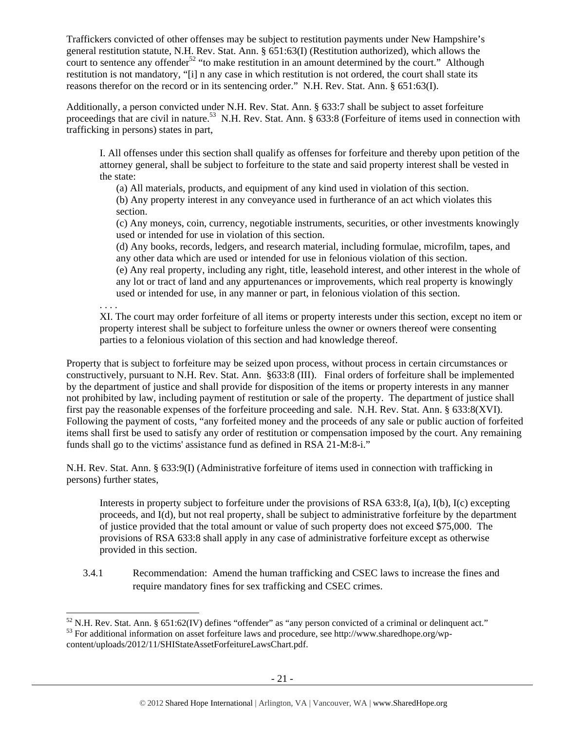Traffickers convicted of other offenses may be subject to restitution payments under New Hampshire's general restitution statute, N.H. Rev. Stat. Ann. § 651:63(I) (Restitution authorized), which allows the court to sentence any offender<sup>52</sup> "to make restitution in an amount determined by the court." Although restitution is not mandatory, "[i] n any case in which restitution is not ordered, the court shall state its reasons therefor on the record or in its sentencing order." N.H. Rev. Stat. Ann. § 651:63(I).

Additionally, a person convicted under N.H. Rev. Stat. Ann. § 633:7 shall be subject to asset forfeiture proceedings that are civil in nature.<sup>53</sup> N.H. Rev. Stat. Ann. § 633:8 (Forfeiture of items used in connection with trafficking in persons) states in part,

I. All offenses under this section shall qualify as offenses for forfeiture and thereby upon petition of the attorney general, shall be subject to forfeiture to the state and said property interest shall be vested in the state:

(a) All materials, products, and equipment of any kind used in violation of this section.

(b) Any property interest in any conveyance used in furtherance of an act which violates this section.

(c) Any moneys, coin, currency, negotiable instruments, securities, or other investments knowingly used or intended for use in violation of this section.

(d) Any books, records, ledgers, and research material, including formulae, microfilm, tapes, and any other data which are used or intended for use in felonious violation of this section.

(e) Any real property, including any right, title, leasehold interest, and other interest in the whole of any lot or tract of land and any appurtenances or improvements, which real property is knowingly used or intended for use, in any manner or part, in felonious violation of this section.

. . . .

XI. The court may order forfeiture of all items or property interests under this section, except no item or property interest shall be subject to forfeiture unless the owner or owners thereof were consenting parties to a felonious violation of this section and had knowledge thereof.

Property that is subject to forfeiture may be seized upon process, without process in certain circumstances or constructively, pursuant to N.H. Rev. Stat. Ann. §633:8 (III). Final orders of forfeiture shall be implemented by the department of justice and shall provide for disposition of the items or property interests in any manner not prohibited by law, including payment of restitution or sale of the property. The department of justice shall first pay the reasonable expenses of the forfeiture proceeding and sale. N.H. Rev. Stat. Ann. § 633:8(XVI). Following the payment of costs, "any forfeited money and the proceeds of any sale or public auction of forfeited items shall first be used to satisfy any order of restitution or compensation imposed by the court. Any remaining funds shall go to the victims' assistance fund as defined in RSA 21-M:8-i."

N.H. Rev. Stat. Ann. § 633:9(I) (Administrative forfeiture of items used in connection with trafficking in persons) further states,

Interests in property subject to forfeiture under the provisions of RSA 633:8, I(a), I(b), I(c) excepting proceeds, and I(d), but not real property, shall be subject to administrative forfeiture by the department of justice provided that the total amount or value of such property does not exceed \$75,000. The provisions of RSA 633:8 shall apply in any case of administrative forfeiture except as otherwise provided in this section.

3.4.1 Recommendation: Amend the human trafficking and CSEC laws to increase the fines and require mandatory fines for sex trafficking and CSEC crimes.

l  $52$  N.H. Rev. Stat. Ann. § 651:62(IV) defines "offender" as "any person convicted of a criminal or delinquent act."

<sup>53</sup> For additional information on asset forfeiture laws and procedure, see http://www.sharedhope.org/wpcontent/uploads/2012/11/SHIStateAssetForfeitureLawsChart.pdf.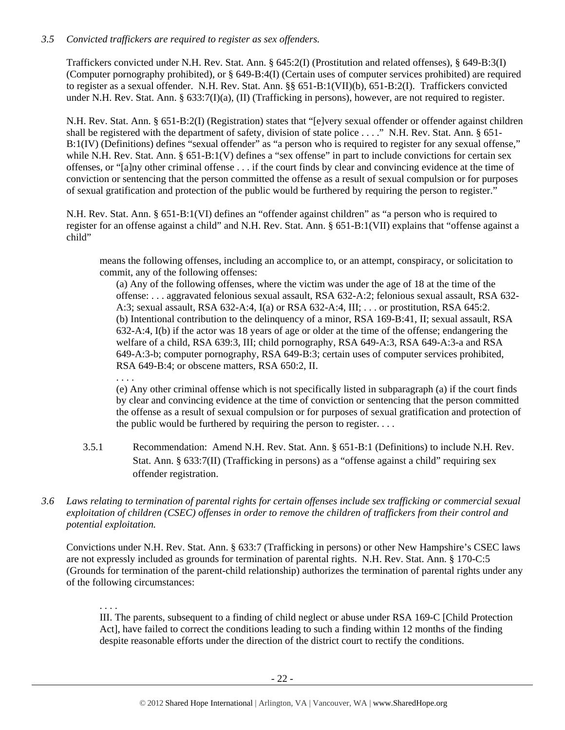## *3.5 Convicted traffickers are required to register as sex offenders.*

Traffickers convicted under N.H. Rev. Stat. Ann. § 645:2(I) (Prostitution and related offenses), § 649-B:3(I) (Computer pornography prohibited), or § 649-B:4(I) (Certain uses of computer services prohibited) are required to register as a sexual offender. N.H. Rev. Stat. Ann. §§ 651-B:1(VII)(b), 651-B:2(I). Traffickers convicted under N.H. Rev. Stat. Ann. § 633:7(I)(a), (II) (Trafficking in persons), however, are not required to register.

N.H. Rev. Stat. Ann. § 651-B:2(I) (Registration) states that "[e]very sexual offender or offender against children shall be registered with the department of safety, division of state police . . . ." N.H. Rev. Stat. Ann. § 651-B:1(IV) (Definitions) defines "sexual offender" as "a person who is required to register for any sexual offense," while N.H. Rev. Stat. Ann. § 651-B:1(V) defines a "sex offense" in part to include convictions for certain sex offenses, or "[a]ny other criminal offense . . . if the court finds by clear and convincing evidence at the time of conviction or sentencing that the person committed the offense as a result of sexual compulsion or for purposes of sexual gratification and protection of the public would be furthered by requiring the person to register."

N.H. Rev. Stat. Ann. § 651-B:1(VI) defines an "offender against children" as "a person who is required to register for an offense against a child" and N.H. Rev. Stat. Ann. § 651-B:1(VII) explains that "offense against a child"

means the following offenses, including an accomplice to, or an attempt, conspiracy, or solicitation to commit, any of the following offenses:

(a) Any of the following offenses, where the victim was under the age of 18 at the time of the offense: . . . aggravated felonious sexual assault, RSA 632-A:2; felonious sexual assault, RSA 632- A:3; sexual assault, RSA 632-A:4, I(a) or RSA 632-A:4, III; . . . or prostitution, RSA 645:2. (b) Intentional contribution to the delinquency of a minor, RSA 169-B:41, II; sexual assault, RSA 632-A:4, I(b) if the actor was 18 years of age or older at the time of the offense; endangering the welfare of a child, RSA 639:3, III; child pornography, RSA 649-A:3, RSA 649-A:3-a and RSA 649-A:3-b; computer pornography, RSA 649-B:3; certain uses of computer services prohibited, RSA 649-B:4; or obscene matters, RSA 650:2, II.

. . . .

(e) Any other criminal offense which is not specifically listed in subparagraph (a) if the court finds by clear and convincing evidence at the time of conviction or sentencing that the person committed the offense as a result of sexual compulsion or for purposes of sexual gratification and protection of the public would be furthered by requiring the person to register.  $\dots$ 

- 3.5.1 Recommendation: Amend N.H. Rev. Stat. Ann. § 651-B:1 (Definitions) to include N.H. Rev. Stat. Ann. § 633:7(II) (Trafficking in persons) as a "offense against a child" requiring sex offender registration.
- *3.6 Laws relating to termination of parental rights for certain offenses include sex trafficking or commercial sexual exploitation of children (CSEC) offenses in order to remove the children of traffickers from their control and potential exploitation.*

Convictions under N.H. Rev. Stat. Ann. § 633:7 (Trafficking in persons) or other New Hampshire's CSEC laws are not expressly included as grounds for termination of parental rights. N.H. Rev. Stat. Ann. § 170-C:5 (Grounds for termination of the parent-child relationship) authorizes the termination of parental rights under any of the following circumstances:

## . . . .

III. The parents, subsequent to a finding of child neglect or abuse under RSA 169-C [Child Protection Act], have failed to correct the conditions leading to such a finding within 12 months of the finding despite reasonable efforts under the direction of the district court to rectify the conditions.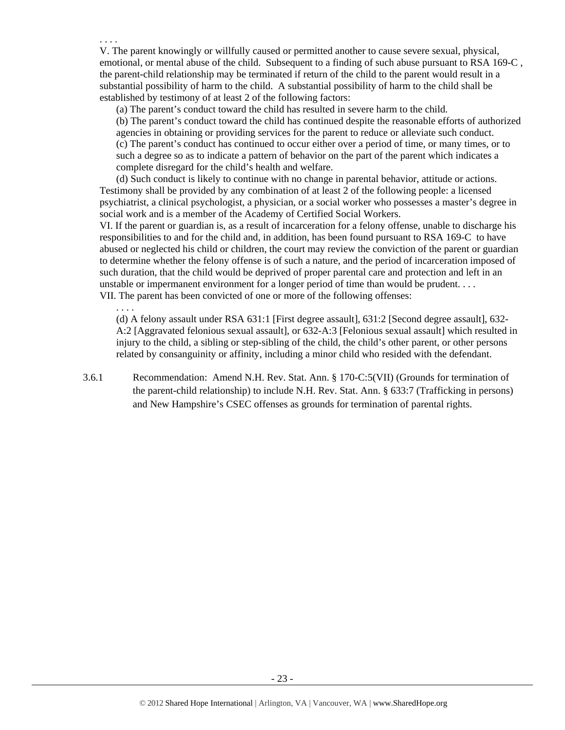. . . . V. The parent knowingly or willfully caused or permitted another to cause severe sexual, physical, emotional, or mental abuse of the child. Subsequent to a finding of such abuse pursuant to RSA 169-C, the parent-child relationship may be terminated if return of the child to the parent would result in a substantial possibility of harm to the child. A substantial possibility of harm to the child shall be established by testimony of at least 2 of the following factors:

(a) The parent's conduct toward the child has resulted in severe harm to the child.

(b) The parent's conduct toward the child has continued despite the reasonable efforts of authorized agencies in obtaining or providing services for the parent to reduce or alleviate such conduct. (c) The parent's conduct has continued to occur either over a period of time, or many times, or to such a degree so as to indicate a pattern of behavior on the part of the parent which indicates a complete disregard for the child's health and welfare.

(d) Such conduct is likely to continue with no change in parental behavior, attitude or actions. Testimony shall be provided by any combination of at least 2 of the following people: a licensed psychiatrist, a clinical psychologist, a physician, or a social worker who possesses a master's degree in social work and is a member of the Academy of Certified Social Workers.

VI. If the parent or guardian is, as a result of incarceration for a felony offense, unable to discharge his responsibilities to and for the child and, in addition, has been found pursuant to RSA 169-C to have abused or neglected his child or children, the court may review the conviction of the parent or guardian to determine whether the felony offense is of such a nature, and the period of incarceration imposed of such duration, that the child would be deprived of proper parental care and protection and left in an unstable or impermanent environment for a longer period of time than would be prudent. . . . VII. The parent has been convicted of one or more of the following offenses:

. . . .

(d) A felony assault under RSA 631:1 [First degree assault], 631:2 [Second degree assault], 632- A:2 [Aggravated felonious sexual assault], or 632-A:3 [Felonious sexual assault] which resulted in injury to the child, a sibling or step-sibling of the child, the child's other parent, or other persons related by consanguinity or affinity, including a minor child who resided with the defendant.

3.6.1 Recommendation: Amend N.H. Rev. Stat. Ann. § 170-C:5(VII) (Grounds for termination of the parent-child relationship) to include N.H. Rev. Stat. Ann. § 633:7 (Trafficking in persons) and New Hampshire's CSEC offenses as grounds for termination of parental rights.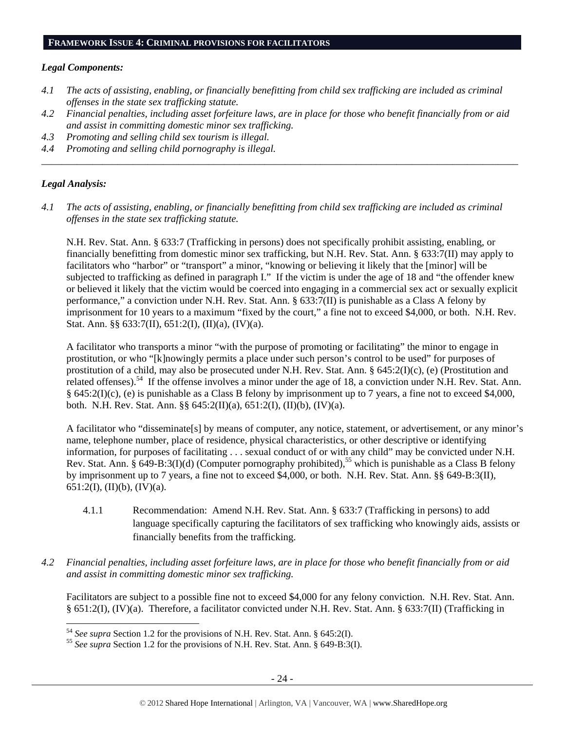#### *Legal Components:*

- *4.1 The acts of assisting, enabling, or financially benefitting from child sex trafficking are included as criminal offenses in the state sex trafficking statute.*
- *4.2 Financial penalties, including asset forfeiture laws, are in place for those who benefit financially from or aid and assist in committing domestic minor sex trafficking.*

*\_\_\_\_\_\_\_\_\_\_\_\_\_\_\_\_\_\_\_\_\_\_\_\_\_\_\_\_\_\_\_\_\_\_\_\_\_\_\_\_\_\_\_\_\_\_\_\_\_\_\_\_\_\_\_\_\_\_\_\_\_\_\_\_\_\_\_\_\_\_\_\_\_\_\_\_\_\_\_\_\_\_\_\_\_\_\_\_\_\_\_\_\_\_* 

- *4.3 Promoting and selling child sex tourism is illegal.*
- *4.4 Promoting and selling child pornography is illegal.*

## *Legal Analysis:*

*4.1 The acts of assisting, enabling, or financially benefitting from child sex trafficking are included as criminal offenses in the state sex trafficking statute.* 

N.H. Rev. Stat. Ann. § 633:7 (Trafficking in persons) does not specifically prohibit assisting, enabling, or financially benefitting from domestic minor sex trafficking, but N.H. Rev. Stat. Ann. § 633:7(II) may apply to facilitators who "harbor" or "transport" a minor, "knowing or believing it likely that the [minor] will be subjected to trafficking as defined in paragraph I." If the victim is under the age of 18 and "the offender knew or believed it likely that the victim would be coerced into engaging in a commercial sex act or sexually explicit performance," a conviction under N.H. Rev. Stat. Ann. § 633:7(II) is punishable as a Class A felony by imprisonment for 10 years to a maximum "fixed by the court," a fine not to exceed \$4,000, or both. N.H. Rev. Stat. Ann. §§ 633:7(II), 651:2(I), (II)(a), (IV)(a).

A facilitator who transports a minor "with the purpose of promoting or facilitating" the minor to engage in prostitution, or who "[k]nowingly permits a place under such person's control to be used" for purposes of prostitution of a child, may also be prosecuted under N.H. Rev. Stat. Ann. § 645:2(I)(c), (e) (Prostitution and related offenses).<sup>54</sup> If the offense involves a minor under the age of 18, a conviction under N.H. Rev. Stat. Ann. § 645:2(I)(c), (e) is punishable as a Class B felony by imprisonment up to 7 years, a fine not to exceed \$4,000, both. N.H. Rev. Stat. Ann. §§ 645:2(II)(a), 651:2(I), (II)(b), (IV)(a).

A facilitator who "disseminate[s] by means of computer, any notice, statement, or advertisement, or any minor's name, telephone number, place of residence, physical characteristics, or other descriptive or identifying information, for purposes of facilitating . . . sexual conduct of or with any child" may be convicted under N.H. Rev. Stat. Ann. § 649-B:3(I)(d) (Computer pornography prohibited),<sup>55</sup> which is punishable as a Class B felony by imprisonment up to 7 years, a fine not to exceed \$4,000, or both. N.H. Rev. Stat. Ann. §§ 649-B:3(II), 651:2(I), (II)(b), (IV)(a).

- 4.1.1 Recommendation: Amend N.H. Rev. Stat. Ann. § 633:7 (Trafficking in persons) to add language specifically capturing the facilitators of sex trafficking who knowingly aids, assists or financially benefits from the trafficking.
- *4.2 Financial penalties, including asset forfeiture laws, are in place for those who benefit financially from or aid and assist in committing domestic minor sex trafficking.*

Facilitators are subject to a possible fine not to exceed \$4,000 for any felony conviction. N.H. Rev. Stat. Ann. § 651:2(I), (IV)(a). Therefore, a facilitator convicted under N.H. Rev. Stat. Ann. § 633:7(II) (Trafficking in

 $54$  See supra Section 1.2 for the provisions of N.H. Rev. Stat. Ann. § 645:2(I).

<sup>&</sup>lt;sup>55</sup> See supra Section 1.2 for the provisions of N.H. Rev. Stat. Ann. § 649-B:3(I).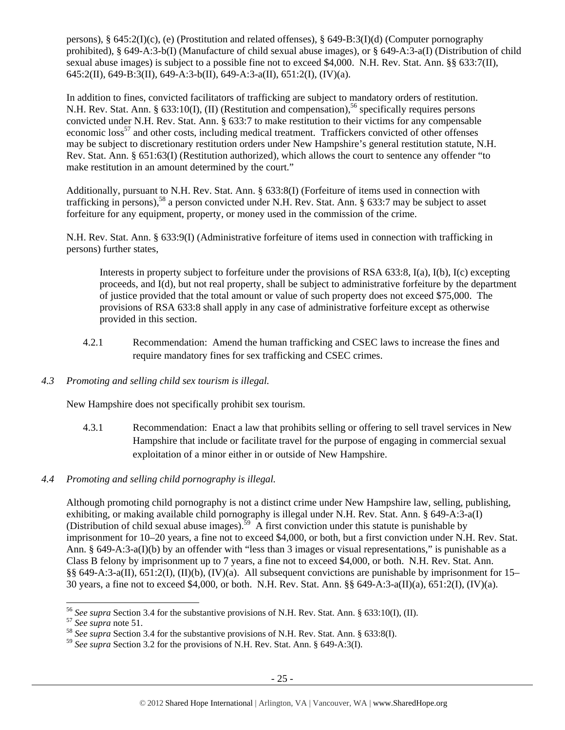persons), § 645:2(I)(c), (e) (Prostitution and related offenses), § 649-B:3(I)(d) (Computer pornography prohibited), § 649-A:3-b(I) (Manufacture of child sexual abuse images), or § 649-A:3-a(I) (Distribution of child sexual abuse images) is subject to a possible fine not to exceed \$4,000. N.H. Rev. Stat. Ann. §§ 633:7(II), 645:2(II), 649-B:3(II), 649-A:3-b(II), 649-A:3-a(II), 651:2(I), (IV)(a).

In addition to fines, convicted facilitators of trafficking are subject to mandatory orders of restitution. N.H. Rev. Stat. Ann. § 633:10(I), (II) (Restitution and compensation),<sup>56</sup> specifically requires persons convicted under N.H. Rev. Stat. Ann. § 633:7 to make restitution to their victims for any compensable economic loss<sup>57</sup> and other costs, including medical treatment. Traffickers convicted of other offenses may be subject to discretionary restitution orders under New Hampshire's general restitution statute, N.H. Rev. Stat. Ann. § 651:63(I) (Restitution authorized), which allows the court to sentence any offender "to make restitution in an amount determined by the court."

Additionally, pursuant to N.H. Rev. Stat. Ann. § 633:8(I) (Forfeiture of items used in connection with trafficking in persons),<sup>58</sup> a person convicted under N.H. Rev. Stat. Ann. § 633:7 may be subject to asset forfeiture for any equipment, property, or money used in the commission of the crime.

N.H. Rev. Stat. Ann. § 633:9(I) (Administrative forfeiture of items used in connection with trafficking in persons) further states,

Interests in property subject to forfeiture under the provisions of RSA 633:8, I(a), I(b), I(c) excepting proceeds, and I(d), but not real property, shall be subject to administrative forfeiture by the department of justice provided that the total amount or value of such property does not exceed \$75,000. The provisions of RSA 633:8 shall apply in any case of administrative forfeiture except as otherwise provided in this section.

- 4.2.1 Recommendation: Amend the human trafficking and CSEC laws to increase the fines and require mandatory fines for sex trafficking and CSEC crimes.
- *4.3 Promoting and selling child sex tourism is illegal.*

New Hampshire does not specifically prohibit sex tourism.

- 4.3.1 Recommendation: Enact a law that prohibits selling or offering to sell travel services in New Hampshire that include or facilitate travel for the purpose of engaging in commercial sexual exploitation of a minor either in or outside of New Hampshire.
- *4.4 Promoting and selling child pornography is illegal.*

Although promoting child pornography is not a distinct crime under New Hampshire law, selling, publishing, exhibiting, or making available child pornography is illegal under N.H. Rev. Stat. Ann. § 649-A:3-a(I) (Distribution of child sexual abuse images).59 A first conviction under this statute is punishable by imprisonment for 10–20 years, a fine not to exceed \$4,000, or both, but a first conviction under N.H. Rev. Stat. Ann. § 649-A:3-a(I)(b) by an offender with "less than 3 images or visual representations," is punishable as a Class B felony by imprisonment up to 7 years, a fine not to exceed \$4,000, or both. N.H. Rev. Stat. Ann. §§ 649-A:3-a(II), 651:2(I), (II)(b), (IV)(a). All subsequent convictions are punishable by imprisonment for 15– 30 years, a fine not to exceed \$4,000, or both. N.H. Rev. Stat. Ann. §§ 649-A:3-a(II)(a), 651:2(I), (IV)(a).

1

<sup>&</sup>lt;sup>56</sup> See supra Section 3.4 for the substantive provisions of N.H. Rev. Stat. Ann. § 633:10(I), (II).<br><sup>57</sup> See supra note 51.<br><sup>58</sup> See supra Section 3.4 for the substantive provisions of N.H. Rev. Stat. Ann. § 633:8(I).

<sup>59</sup> *See supra* Section 3.2 for the provisions of N.H. Rev. Stat. Ann. § 649-A:3(I).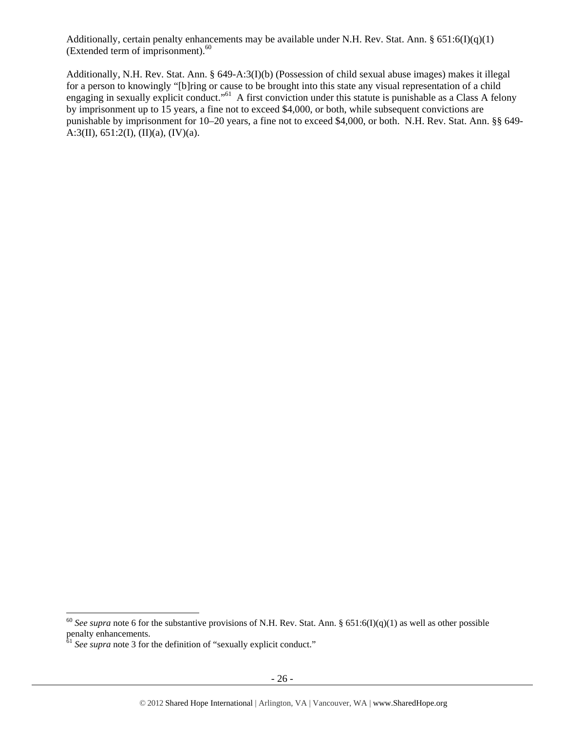Additionally, certain penalty enhancements may be available under N.H. Rev. Stat. Ann. § 651:6(I)(q)(1) (Extended term of imprisonment).<sup>60</sup>

Additionally, N.H. Rev. Stat. Ann. § 649-A:3(I)(b) (Possession of child sexual abuse images) makes it illegal for a person to knowingly "[b]ring or cause to be brought into this state any visual representation of a child engaging in sexually explicit conduct."61 A first conviction under this statute is punishable as a Class A felony by imprisonment up to 15 years, a fine not to exceed \$4,000, or both, while subsequent convictions are punishable by imprisonment for 10–20 years, a fine not to exceed \$4,000, or both. N.H. Rev. Stat. Ann. §§ 649- A:3(II),  $651:2(I)$ ,  $(II)(a)$ ,  $(IV)(a)$ .

1

<sup>&</sup>lt;sup>60</sup> See supra note 6 for the substantive provisions of N.H. Rev. Stat. Ann. § 651:6(I)(q)(1) as well as other possible penalty enhancements.

<sup>&</sup>lt;sup>61</sup> See supra note 3 for the definition of "sexually explicit conduct."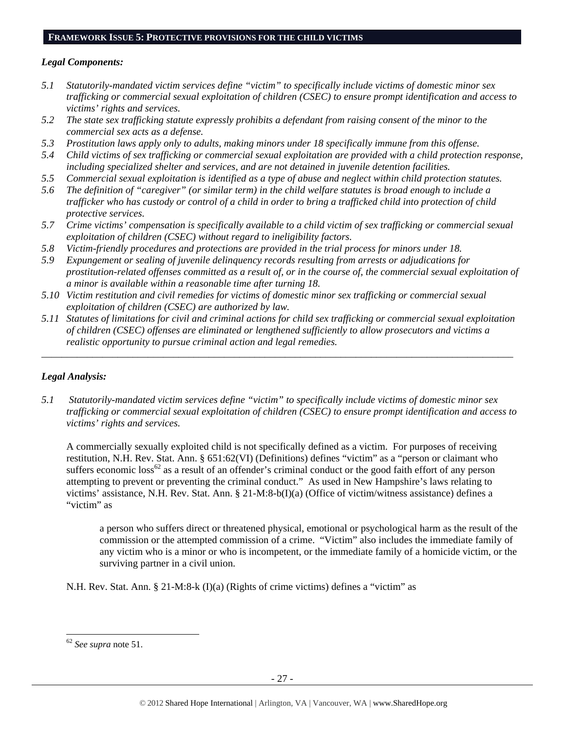#### **FRAMEWORK ISSUE 5: PROTECTIVE PROVISIONS FOR THE CHILD VICTIMS**

#### *Legal Components:*

- *5.1 Statutorily-mandated victim services define "victim" to specifically include victims of domestic minor sex trafficking or commercial sexual exploitation of children (CSEC) to ensure prompt identification and access to victims' rights and services.*
- *5.2 The state sex trafficking statute expressly prohibits a defendant from raising consent of the minor to the commercial sex acts as a defense.*
- *5.3 Prostitution laws apply only to adults, making minors under 18 specifically immune from this offense.*
- *5.4 Child victims of sex trafficking or commercial sexual exploitation are provided with a child protection response, including specialized shelter and services, and are not detained in juvenile detention facilities.*
- *5.5 Commercial sexual exploitation is identified as a type of abuse and neglect within child protection statutes.*
- *5.6 The definition of "caregiver" (or similar term) in the child welfare statutes is broad enough to include a trafficker who has custody or control of a child in order to bring a trafficked child into protection of child protective services.*
- *5.7 Crime victims' compensation is specifically available to a child victim of sex trafficking or commercial sexual exploitation of children (CSEC) without regard to ineligibility factors.*
- *5.8 Victim-friendly procedures and protections are provided in the trial process for minors under 18.*
- *5.9 Expungement or sealing of juvenile delinquency records resulting from arrests or adjudications for prostitution-related offenses committed as a result of, or in the course of, the commercial sexual exploitation of a minor is available within a reasonable time after turning 18.*
- *5.10 Victim restitution and civil remedies for victims of domestic minor sex trafficking or commercial sexual exploitation of children (CSEC) are authorized by law.*
- *5.11 Statutes of limitations for civil and criminal actions for child sex trafficking or commercial sexual exploitation of children (CSEC) offenses are eliminated or lengthened sufficiently to allow prosecutors and victims a realistic opportunity to pursue criminal action and legal remedies.*

*\_\_\_\_\_\_\_\_\_\_\_\_\_\_\_\_\_\_\_\_\_\_\_\_\_\_\_\_\_\_\_\_\_\_\_\_\_\_\_\_\_\_\_\_\_\_\_\_\_\_\_\_\_\_\_\_\_\_\_\_\_\_\_\_\_\_\_\_\_\_\_\_\_\_\_\_\_\_\_\_\_\_\_\_\_\_\_\_\_\_\_\_\_* 

## *Legal Analysis:*

*5.1 Statutorily-mandated victim services define "victim" to specifically include victims of domestic minor sex trafficking or commercial sexual exploitation of children (CSEC) to ensure prompt identification and access to victims' rights and services.* 

A commercially sexually exploited child is not specifically defined as a victim. For purposes of receiving restitution, N.H. Rev. Stat. Ann. § 651:62(VI) (Definitions) defines "victim" as a "person or claimant who suffers economic  $\cos^{62}$  as a result of an offender's criminal conduct or the good faith effort of any person attempting to prevent or preventing the criminal conduct." As used in New Hampshire's laws relating to victims' assistance, N.H. Rev. Stat. Ann. § 21-M:8-b(I)(a) (Office of victim/witness assistance) defines a "victim" as

a person who suffers direct or threatened physical, emotional or psychological harm as the result of the commission or the attempted commission of a crime. "Victim" also includes the immediate family of any victim who is a minor or who is incompetent, or the immediate family of a homicide victim, or the surviving partner in a civil union.

N.H. Rev. Stat. Ann. § 21-M:8-k (I)(a) (Rights of crime victims) defines a "victim" as

l

<sup>62</sup> *See supra* note 51.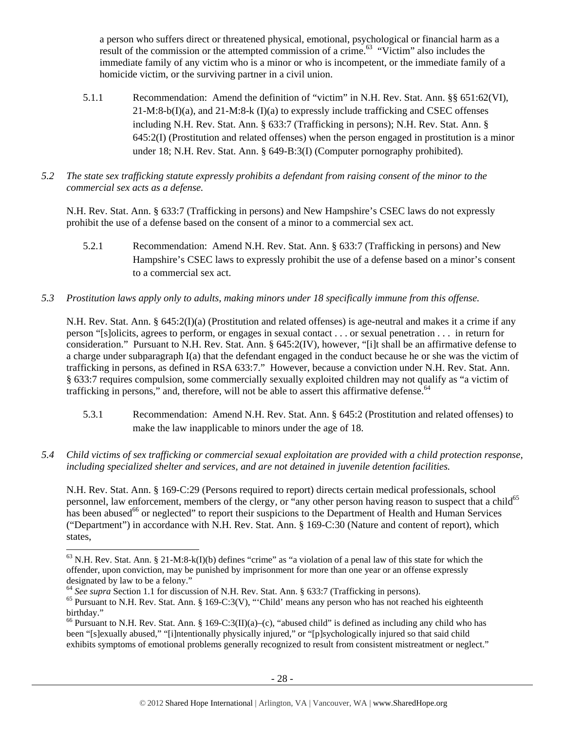a person who suffers direct or threatened physical, emotional, psychological or financial harm as a result of the commission or the attempted commission of a crime.<sup>63</sup> "Victim" also includes the immediate family of any victim who is a minor or who is incompetent, or the immediate family of a homicide victim, or the surviving partner in a civil union.

- 5.1.1 Recommendation: Amend the definition of "victim" in N.H. Rev. Stat. Ann. §§ 651:62(VI), 21-M:8-b(I)(a), and 21-M:8-k (I)(a) to expressly include trafficking and CSEC offenses including N.H. Rev. Stat. Ann. § 633:7 (Trafficking in persons); N.H. Rev. Stat. Ann. § 645:2(I) (Prostitution and related offenses) when the person engaged in prostitution is a minor under 18; N.H. Rev. Stat. Ann. § 649-B:3(I) (Computer pornography prohibited).
- *5.2 The state sex trafficking statute expressly prohibits a defendant from raising consent of the minor to the commercial sex acts as a defense.*

N.H. Rev. Stat. Ann. § 633:7 (Trafficking in persons) and New Hampshire's CSEC laws do not expressly prohibit the use of a defense based on the consent of a minor to a commercial sex act.

- 5.2.1 Recommendation: Amend N.H. Rev. Stat. Ann. § 633:7 (Trafficking in persons) and New Hampshire's CSEC laws to expressly prohibit the use of a defense based on a minor's consent to a commercial sex act.
- *5.3 Prostitution laws apply only to adults, making minors under 18 specifically immune from this offense.*

N.H. Rev. Stat. Ann. § 645:2(I)(a) (Prostitution and related offenses) is age-neutral and makes it a crime if any person "[s]olicits, agrees to perform, or engages in sexual contact . . . or sexual penetration . . . in return for consideration." Pursuant to N.H. Rev. Stat. Ann. § 645:2(IV), however, "[i]t shall be an affirmative defense to a charge under subparagraph I(a) that the defendant engaged in the conduct because he or she was the victim of trafficking in persons, as defined in RSA 633:7." However, because a conviction under N.H. Rev. Stat. Ann. § 633:7 requires compulsion, some commercially sexually exploited children may not qualify as "a victim of trafficking in persons," and, therefore, will not be able to assert this affirmative defense.<sup>64</sup>

- 5.3.1 Recommendation: Amend N.H. Rev. Stat. Ann. § 645:2 (Prostitution and related offenses) to make the law inapplicable to minors under the age of 18.
- *5.4 Child victims of sex trafficking or commercial sexual exploitation are provided with a child protection response, including specialized shelter and services, and are not detained in juvenile detention facilities.*

N.H. Rev. Stat. Ann. § 169-C:29 (Persons required to report) directs certain medical professionals, school personnel, law enforcement, members of the clergy, or "any other person having reason to suspect that a child<sup>65</sup> has been abused<sup>66</sup> or neglected" to report their suspicions to the Department of Health and Human Services ("Department") in accordance with N.H. Rev. Stat. Ann. § 169-C:30 (Nature and content of report), which states,

l

 $63$  N.H. Rev. Stat. Ann. § 21-M:8-k(I)(b) defines "crime" as "a violation of a penal law of this state for which the offender, upon conviction, may be punished by imprisonment for more than one year or an offense expressly designated by law to be a felony."<br>
<sup>64</sup> See supra Section 1.1 for discussion of N.H. Rev. Stat. Ann. § 633:7 (Trafficking in persons).

<sup>&</sup>lt;sup>65</sup> Pursuant to N.H. Rev. Stat. Ann. § 169-C:3(V), "'Child' means any person who has not reached his eighteenth birthday."

<sup>&</sup>lt;sup>66</sup> Pursuant to N.H. Rev. Stat. Ann. § 169-C:3(II)(a)–(c), "abused child" is defined as including any child who has been "[s]exually abused," "[i]ntentionally physically injured," or "[p]sychologically injured so that said child exhibits symptoms of emotional problems generally recognized to result from consistent mistreatment or neglect."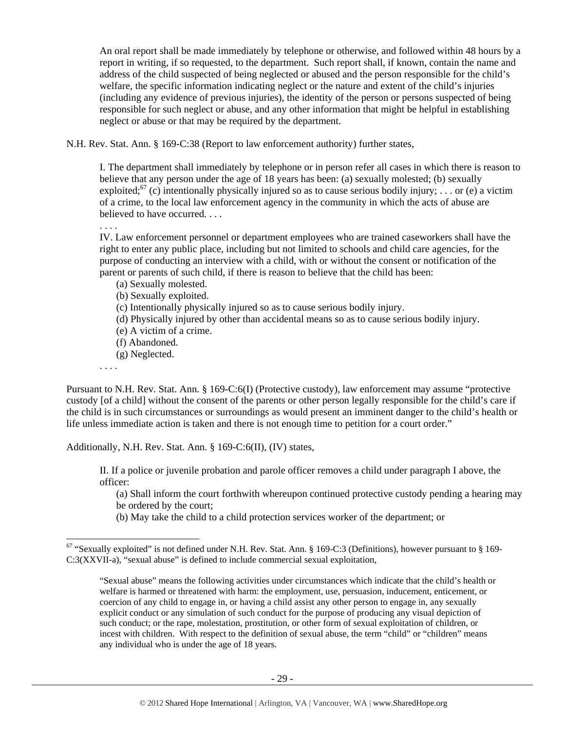An oral report shall be made immediately by telephone or otherwise, and followed within 48 hours by a report in writing, if so requested, to the department. Such report shall, if known, contain the name and address of the child suspected of being neglected or abused and the person responsible for the child's welfare, the specific information indicating neglect or the nature and extent of the child's injuries (including any evidence of previous injuries), the identity of the person or persons suspected of being responsible for such neglect or abuse, and any other information that might be helpful in establishing neglect or abuse or that may be required by the department.

N.H. Rev. Stat. Ann. § 169-C:38 (Report to law enforcement authority) further states,

I. The department shall immediately by telephone or in person refer all cases in which there is reason to believe that any person under the age of 18 years has been: (a) sexually molested; (b) sexually exploited;<sup>67</sup> (c) intentionally physically injured so as to cause serious bodily injury; ... or (e) a victim of a crime, to the local law enforcement agency in the community in which the acts of abuse are believed to have occurred. . . .

. . . .

IV. Law enforcement personnel or department employees who are trained caseworkers shall have the right to enter any public place, including but not limited to schools and child care agencies, for the purpose of conducting an interview with a child, with or without the consent or notification of the parent or parents of such child, if there is reason to believe that the child has been:

- (a) Sexually molested.
- (b) Sexually exploited.
- (c) Intentionally physically injured so as to cause serious bodily injury.
- (d) Physically injured by other than accidental means so as to cause serious bodily injury.
- (e) A victim of a crime.
- (f) Abandoned.
- (g) Neglected.

. . . .

1

Pursuant to N.H. Rev. Stat. Ann. § 169-C:6(I) (Protective custody), law enforcement may assume "protective custody [of a child] without the consent of the parents or other person legally responsible for the child's care if the child is in such circumstances or surroundings as would present an imminent danger to the child's health or life unless immediate action is taken and there is not enough time to petition for a court order."

Additionally, N.H. Rev. Stat. Ann. § 169-C:6(II), (IV) states,

II. If a police or juvenile probation and parole officer removes a child under paragraph I above, the officer:

(a) Shall inform the court forthwith whereupon continued protective custody pending a hearing may be ordered by the court;

(b) May take the child to a child protection services worker of the department; or

 $67$  "Sexually exploited" is not defined under N.H. Rev. Stat. Ann. § 169-C:3 (Definitions), however pursuant to § 169-C:3(XXVII-a), "sexual abuse" is defined to include commercial sexual exploitation,

<sup>&</sup>quot;Sexual abuse" means the following activities under circumstances which indicate that the child's health or welfare is harmed or threatened with harm: the employment, use, persuasion, inducement, enticement, or coercion of any child to engage in, or having a child assist any other person to engage in, any sexually explicit conduct or any simulation of such conduct for the purpose of producing any visual depiction of such conduct; or the rape, molestation, prostitution, or other form of sexual exploitation of children, or incest with children. With respect to the definition of sexual abuse, the term "child" or "children" means any individual who is under the age of 18 years.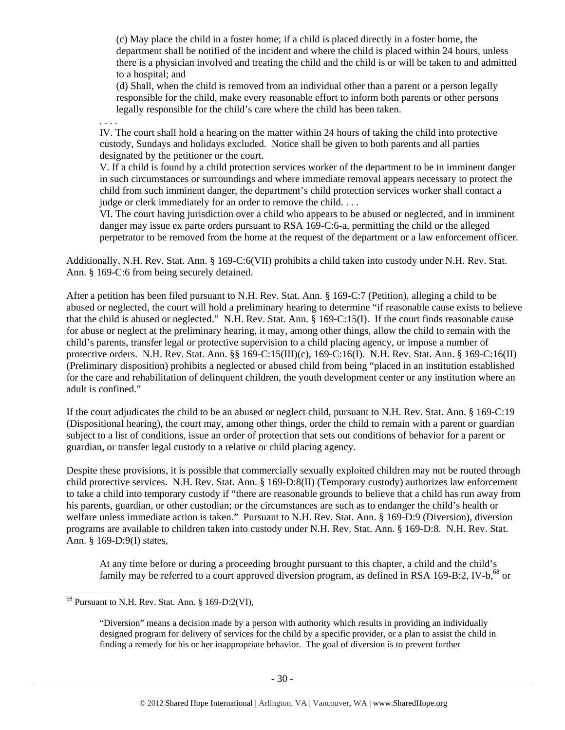(c) May place the child in a foster home; if a child is placed directly in a foster home, the department shall be notified of the incident and where the child is placed within 24 hours, unless there is a physician involved and treating the child and the child is or will be taken to and admitted to a hospital; and

(d) Shall, when the child is removed from an individual other than a parent or a person legally responsible for the child, make every reasonable effort to inform both parents or other persons legally responsible for the child's care where the child has been taken.

. . . . IV. The court shall hold a hearing on the matter within 24 hours of taking the child into protective custody, Sundays and holidays excluded. Notice shall be given to both parents and all parties designated by the petitioner or the court.

V. If a child is found by a child protection services worker of the department to be in imminent danger in such circumstances or surroundings and where immediate removal appears necessary to protect the child from such imminent danger, the department's child protection services worker shall contact a judge or clerk immediately for an order to remove the child. . . .

VI. The court having jurisdiction over a child who appears to be abused or neglected, and in imminent danger may issue ex parte orders pursuant to RSA 169-C:6-a, permitting the child or the alleged perpetrator to be removed from the home at the request of the department or a law enforcement officer.

Additionally, N.H. Rev. Stat. Ann. § 169-C:6(VII) prohibits a child taken into custody under N.H. Rev. Stat. Ann. § 169-C:6 from being securely detained.

After a petition has been filed pursuant to N.H. Rev. Stat. Ann. § 169-C:7 (Petition), alleging a child to be abused or neglected, the court will hold a preliminary hearing to determine "if reasonable cause exists to believe that the child is abused or neglected." N.H. Rev. Stat. Ann. § 169-C:15(I). If the court finds reasonable cause for abuse or neglect at the preliminary hearing, it may, among other things, allow the child to remain with the child's parents, transfer legal or protective supervision to a child placing agency, or impose a number of protective orders. N.H. Rev. Stat. Ann. §§ 169-C:15(III)(c), 169-C:16(I). N.H. Rev. Stat. Ann. § 169-C:16(II) (Preliminary disposition) prohibits a neglected or abused child from being "placed in an institution established for the care and rehabilitation of delinquent children, the youth development center or any institution where an adult is confined."

If the court adjudicates the child to be an abused or neglect child, pursuant to N.H. Rev. Stat. Ann. § 169-C:19 (Dispositional hearing), the court may, among other things, order the child to remain with a parent or guardian subject to a list of conditions, issue an order of protection that sets out conditions of behavior for a parent or guardian, or transfer legal custody to a relative or child placing agency.

Despite these provisions, it is possible that commercially sexually exploited children may not be routed through child protective services. N.H. Rev. Stat. Ann. § 169-D:8(II) (Temporary custody) authorizes law enforcement to take a child into temporary custody if "there are reasonable grounds to believe that a child has run away from his parents, guardian, or other custodian; or the circumstances are such as to endanger the child's health or welfare unless immediate action is taken." Pursuant to N.H. Rev. Stat. Ann. § 169-D:9 (Diversion), diversion programs are available to children taken into custody under N.H. Rev. Stat. Ann. § 169-D:8. N.H. Rev. Stat. Ann. § 169-D:9(I) states,

At any time before or during a proceeding brought pursuant to this chapter, a child and the child's family may be referred to a court approved diversion program, as defined in RSA 169-B:2, IV-b,  $^{68}$  or

 $\overline{\phantom{a}}$ 

 $^{68}$  Pursuant to N.H. Rev. Stat. Ann. § 169-D:2(VI),

<sup>&</sup>quot;Diversion" means a decision made by a person with authority which results in providing an individually designed program for delivery of services for the child by a specific provider, or a plan to assist the child in finding a remedy for his or her inappropriate behavior. The goal of diversion is to prevent further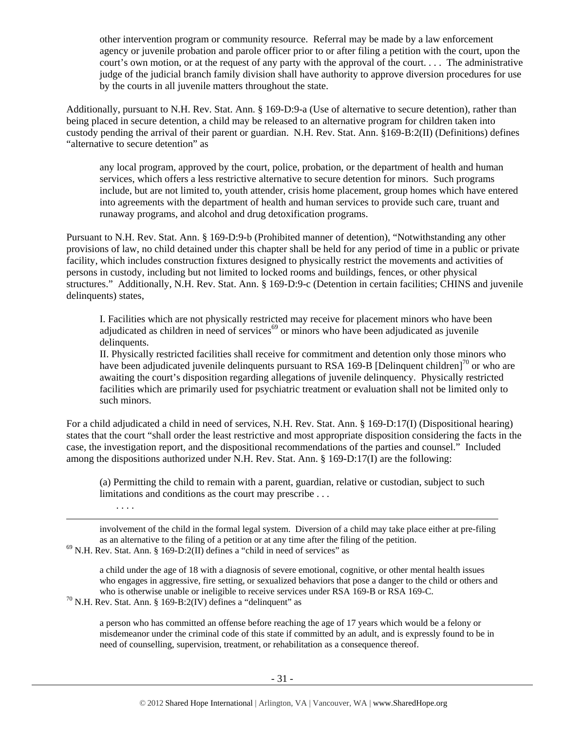other intervention program or community resource. Referral may be made by a law enforcement agency or juvenile probation and parole officer prior to or after filing a petition with the court, upon the court's own motion, or at the request of any party with the approval of the court. . . . The administrative judge of the judicial branch family division shall have authority to approve diversion procedures for use by the courts in all juvenile matters throughout the state.

Additionally, pursuant to N.H. Rev. Stat. Ann. § 169-D:9-a (Use of alternative to secure detention), rather than being placed in secure detention, a child may be released to an alternative program for children taken into custody pending the arrival of their parent or guardian. N.H. Rev. Stat. Ann. §169-B:2(II) (Definitions) defines "alternative to secure detention" as

any local program, approved by the court, police, probation, or the department of health and human services, which offers a less restrictive alternative to secure detention for minors. Such programs include, but are not limited to, youth attender, crisis home placement, group homes which have entered into agreements with the department of health and human services to provide such care, truant and runaway programs, and alcohol and drug detoxification programs.

Pursuant to N.H. Rev. Stat. Ann. § 169-D:9-b (Prohibited manner of detention), "Notwithstanding any other provisions of law, no child detained under this chapter shall be held for any period of time in a public or private facility, which includes construction fixtures designed to physically restrict the movements and activities of persons in custody, including but not limited to locked rooms and buildings, fences, or other physical structures." Additionally, N.H. Rev. Stat. Ann. § 169-D:9-c (Detention in certain facilities; CHINS and juvenile delinquents) states,

I. Facilities which are not physically restricted may receive for placement minors who have been adjudicated as children in need of services<sup> $69$ </sup> or minors who have been adjudicated as juvenile delinquents.

II. Physically restricted facilities shall receive for commitment and detention only those minors who have been adjudicated juvenile delinquents pursuant to RSA 169-B [Delinquent children]<sup>70</sup> or who are awaiting the court's disposition regarding allegations of juvenile delinquency. Physically restricted facilities which are primarily used for psychiatric treatment or evaluation shall not be limited only to such minors.

For a child adjudicated a child in need of services, N.H. Rev. Stat. Ann. § 169-D:17(I) (Dispositional hearing) states that the court "shall order the least restrictive and most appropriate disposition considering the facts in the case, the investigation report, and the dispositional recommendations of the parties and counsel." Included among the dispositions authorized under N.H. Rev. Stat. Ann. § 169-D:17(I) are the following:

(a) Permitting the child to remain with a parent, guardian, relative or custodian, subject to such limitations and conditions as the court may prescribe . . .

. . . .

1

involvement of the child in the formal legal system. Diversion of a child may take place either at pre-filing as an alternative to the filing of a petition or at any time after the filing of the petition. 69 N.H. Rev. Stat. Ann. § 169-D:2(II) defines a "child in need of services" as

a child under the age of 18 with a diagnosis of severe emotional, cognitive, or other mental health issues who engages in aggressive, fire setting, or sexualized behaviors that pose a danger to the child or others and

who is otherwise unable or ineligible to receive services under RSA 169-B or RSA 169-C.<br><sup>70</sup> N.H. Rev. Stat. Ann. § 169-B:2(IV) defines a "delinquent" as

a person who has committed an offense before reaching the age of 17 years which would be a felony or misdemeanor under the criminal code of this state if committed by an adult, and is expressly found to be in need of counselling, supervision, treatment, or rehabilitation as a consequence thereof.

- 31 -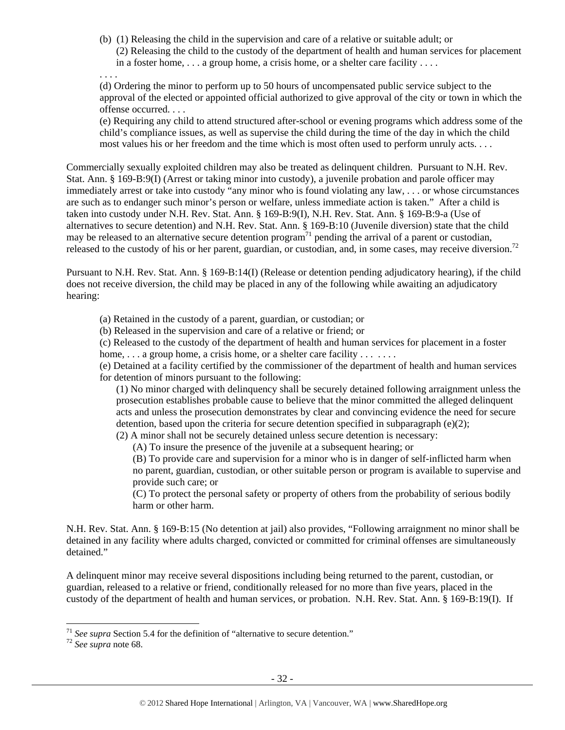(b) (1) Releasing the child in the supervision and care of a relative or suitable adult; or (2) Releasing the child to the custody of the department of health and human services for placement in a foster home, . . . a group home, a crisis home, or a shelter care facility . . . .

. . . .

(d) Ordering the minor to perform up to 50 hours of uncompensated public service subject to the approval of the elected or appointed official authorized to give approval of the city or town in which the offense occurred. . . .

(e) Requiring any child to attend structured after-school or evening programs which address some of the child's compliance issues, as well as supervise the child during the time of the day in which the child most values his or her freedom and the time which is most often used to perform unruly acts. . . .

Commercially sexually exploited children may also be treated as delinquent children. Pursuant to N.H. Rev. Stat. Ann. § 169-B:9(I) (Arrest or taking minor into custody), a juvenile probation and parole officer may immediately arrest or take into custody "any minor who is found violating any law, . . . or whose circumstances are such as to endanger such minor's person or welfare, unless immediate action is taken." After a child is taken into custody under N.H. Rev. Stat. Ann. § 169-B:9(I), N.H. Rev. Stat. Ann. § 169-B:9-a (Use of alternatives to secure detention) and N.H. Rev. Stat. Ann. § 169-B:10 (Juvenile diversion) state that the child may be released to an alternative secure detention program<sup>71</sup> pending the arrival of a parent or custodian, released to the custody of his or her parent, guardian, or custodian, and, in some cases, may receive diversion.<sup>72</sup>

Pursuant to N.H. Rev. Stat. Ann. § 169-B:14(I) (Release or detention pending adjudicatory hearing), if the child does not receive diversion, the child may be placed in any of the following while awaiting an adjudicatory hearing:

(a) Retained in the custody of a parent, guardian, or custodian; or

(b) Released in the supervision and care of a relative or friend; or

(c) Released to the custody of the department of health and human services for placement in a foster home, ... a group home, a crisis home, or a shelter care facility ... ...

(e) Detained at a facility certified by the commissioner of the department of health and human services for detention of minors pursuant to the following:

(1) No minor charged with delinquency shall be securely detained following arraignment unless the prosecution establishes probable cause to believe that the minor committed the alleged delinquent acts and unless the prosecution demonstrates by clear and convincing evidence the need for secure detention, based upon the criteria for secure detention specified in subparagraph  $(e)(2)$ ; (2) A minor shall not be securely detained unless secure detention is necessary:

(A) To insure the presence of the juvenile at a subsequent hearing; or

(B) To provide care and supervision for a minor who is in danger of self-inflicted harm when no parent, guardian, custodian, or other suitable person or program is available to supervise and provide such care; or

(C) To protect the personal safety or property of others from the probability of serious bodily harm or other harm.

N.H. Rev. Stat. Ann. § 169-B:15 (No detention at jail) also provides, "Following arraignment no minor shall be detained in any facility where adults charged, convicted or committed for criminal offenses are simultaneously detained."

A delinquent minor may receive several dispositions including being returned to the parent, custodian, or guardian, released to a relative or friend, conditionally released for no more than five years, placed in the custody of the department of health and human services, or probation. N.H. Rev. Stat. Ann. § 169-B:19(I). If

 $\overline{\phantom{a}}$ 

<sup>&</sup>lt;sup>71</sup> *See supra* Section 5.4 for the definition of "alternative to secure detention."  $^{72}$  *See supra* note 68.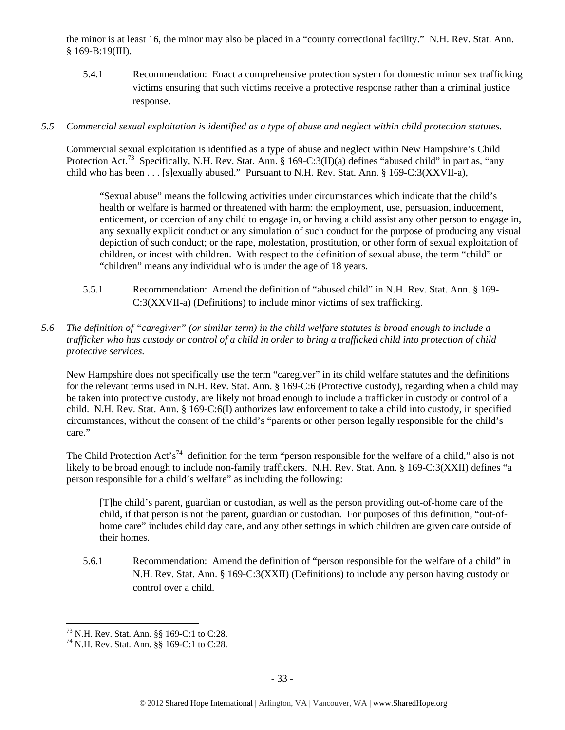the minor is at least 16, the minor may also be placed in a "county correctional facility." N.H. Rev. Stat. Ann. § 169-B:19(III).

5.4.1 Recommendation: Enact a comprehensive protection system for domestic minor sex trafficking victims ensuring that such victims receive a protective response rather than a criminal justice response.

## *5.5 Commercial sexual exploitation is identified as a type of abuse and neglect within child protection statutes.*

Commercial sexual exploitation is identified as a type of abuse and neglect within New Hampshire's Child Protection Act.<sup>73</sup> Specifically, N.H. Rev. Stat. Ann. § 169-C:3(II)(a) defines "abused child" in part as, "any child who has been . . . [s]exually abused." Pursuant to N.H. Rev. Stat. Ann. § 169-C:3(XXVII-a),

"Sexual abuse" means the following activities under circumstances which indicate that the child's health or welfare is harmed or threatened with harm: the employment, use, persuasion, inducement, enticement, or coercion of any child to engage in, or having a child assist any other person to engage in, any sexually explicit conduct or any simulation of such conduct for the purpose of producing any visual depiction of such conduct; or the rape, molestation, prostitution, or other form of sexual exploitation of children, or incest with children. With respect to the definition of sexual abuse, the term "child" or "children" means any individual who is under the age of 18 years.

- 5.5.1 Recommendation: Amend the definition of "abused child" in N.H. Rev. Stat. Ann. § 169- C:3(XXVII-a) (Definitions) to include minor victims of sex trafficking.
- *5.6 The definition of "caregiver" (or similar term) in the child welfare statutes is broad enough to include a trafficker who has custody or control of a child in order to bring a trafficked child into protection of child protective services.*

New Hampshire does not specifically use the term "caregiver" in its child welfare statutes and the definitions for the relevant terms used in N.H. Rev. Stat. Ann. § 169-C:6 (Protective custody), regarding when a child may be taken into protective custody, are likely not broad enough to include a trafficker in custody or control of a child. N.H. Rev. Stat. Ann. § 169-C:6(I) authorizes law enforcement to take a child into custody, in specified circumstances, without the consent of the child's "parents or other person legally responsible for the child's care."

The Child Protection Act's<sup>74</sup> definition for the term "person responsible for the welfare of a child," also is not likely to be broad enough to include non-family traffickers. N.H. Rev. Stat. Ann. § 169-C:3(XXII) defines "a person responsible for a child's welfare" as including the following:

[T]he child's parent, guardian or custodian, as well as the person providing out-of-home care of the child, if that person is not the parent, guardian or custodian. For purposes of this definition, "out-ofhome care" includes child day care, and any other settings in which children are given care outside of their homes.

5.6.1 Recommendation: Amend the definition of "person responsible for the welfare of a child" in N.H. Rev. Stat. Ann. § 169-C:3(XXII) (Definitions) to include any person having custody or control over a child.

 $\overline{\phantom{a}}$ 

<sup>73</sup> N.H. Rev. Stat. Ann. §§ 169-C:1 to C:28.

<sup>74</sup> N.H. Rev. Stat. Ann. §§ 169-C:1 to C:28.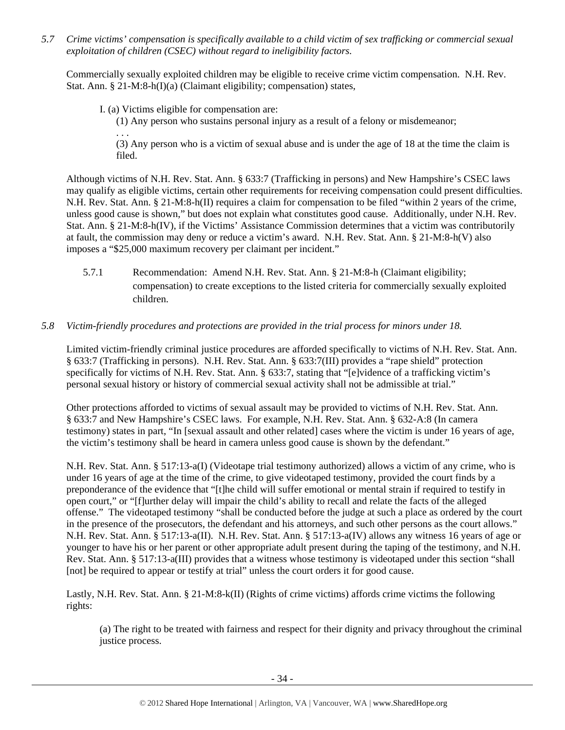*5.7 Crime victims' compensation is specifically available to a child victim of sex trafficking or commercial sexual exploitation of children (CSEC) without regard to ineligibility factors.* 

Commercially sexually exploited children may be eligible to receive crime victim compensation. N.H. Rev. Stat. Ann. § 21-M:8-h(I)(a) (Claimant eligibility; compensation) states,

I. (a) Victims eligible for compensation are:

. . .

(1) Any person who sustains personal injury as a result of a felony or misdemeanor;

(3) Any person who is a victim of sexual abuse and is under the age of 18 at the time the claim is filed.

Although victims of N.H. Rev. Stat. Ann. § 633:7 (Trafficking in persons) and New Hampshire's CSEC laws may qualify as eligible victims, certain other requirements for receiving compensation could present difficulties. N.H. Rev. Stat. Ann. § 21-M:8-h(II) requires a claim for compensation to be filed "within 2 years of the crime, unless good cause is shown," but does not explain what constitutes good cause. Additionally, under N.H. Rev. Stat. Ann. § 21-M:8-h(IV), if the Victims' Assistance Commission determines that a victim was contributorily at fault, the commission may deny or reduce a victim's award. N.H. Rev. Stat. Ann. § 21-M:8-h(V) also imposes a "\$25,000 maximum recovery per claimant per incident."

5.7.1 Recommendation: Amend N.H. Rev. Stat. Ann. § 21-M:8-h (Claimant eligibility; compensation) to create exceptions to the listed criteria for commercially sexually exploited children.

#### *5.8 Victim-friendly procedures and protections are provided in the trial process for minors under 18.*

Limited victim-friendly criminal justice procedures are afforded specifically to victims of N.H. Rev. Stat. Ann. § 633:7 (Trafficking in persons). N.H. Rev. Stat. Ann. § 633:7(III) provides a "rape shield" protection specifically for victims of N.H. Rev. Stat. Ann. § 633:7, stating that "[e]vidence of a trafficking victim's personal sexual history or history of commercial sexual activity shall not be admissible at trial."

Other protections afforded to victims of sexual assault may be provided to victims of N.H. Rev. Stat. Ann. § 633:7 and New Hampshire's CSEC laws. For example, N.H. Rev. Stat. Ann. § 632-A:8 (In camera testimony) states in part, "In [sexual assault and other related] cases where the victim is under 16 years of age, the victim's testimony shall be heard in camera unless good cause is shown by the defendant."

N.H. Rev. Stat. Ann. § 517:13-a(I) (Videotape trial testimony authorized) allows a victim of any crime, who is under 16 years of age at the time of the crime, to give videotaped testimony, provided the court finds by a preponderance of the evidence that "[t]he child will suffer emotional or mental strain if required to testify in open court," or "[f]urther delay will impair the child's ability to recall and relate the facts of the alleged offense." The videotaped testimony "shall be conducted before the judge at such a place as ordered by the court in the presence of the prosecutors, the defendant and his attorneys, and such other persons as the court allows." N.H. Rev. Stat. Ann. § 517:13-a(II). N.H. Rev. Stat. Ann. § 517:13-a(IV) allows any witness 16 years of age or younger to have his or her parent or other appropriate adult present during the taping of the testimony, and N.H. Rev. Stat. Ann. § 517:13-a(III) provides that a witness whose testimony is videotaped under this section "shall [not] be required to appear or testify at trial" unless the court orders it for good cause.

Lastly, N.H. Rev. Stat. Ann. § 21-M:8-k(II) (Rights of crime victims) affords crime victims the following rights:

(a) The right to be treated with fairness and respect for their dignity and privacy throughout the criminal justice process.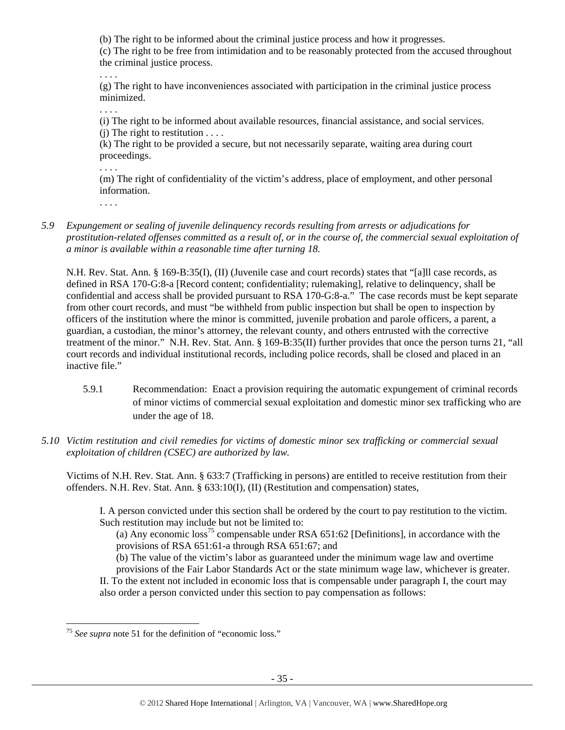(b) The right to be informed about the criminal justice process and how it progresses.

(c) The right to be free from intimidation and to be reasonably protected from the accused throughout the criminal justice process.

. . . .

(g) The right to have inconveniences associated with participation in the criminal justice process minimized.

. . . .

(i) The right to be informed about available resources, financial assistance, and social services. (i) The right to restitution  $\dots$ .

(k) The right to be provided a secure, but not necessarily separate, waiting area during court proceedings.

. . . .

(m) The right of confidentiality of the victim's address, place of employment, and other personal information.

. . . .

*5.9 Expungement or sealing of juvenile delinquency records resulting from arrests or adjudications for prostitution-related offenses committed as a result of, or in the course of, the commercial sexual exploitation of a minor is available within a reasonable time after turning 18.* 

N.H. Rev. Stat. Ann. § 169-B:35(I), (II) (Juvenile case and court records) states that "[a]ll case records, as defined in RSA 170-G:8-a [Record content; confidentiality; rulemaking], relative to delinquency, shall be confidential and access shall be provided pursuant to RSA 170-G:8-a." The case records must be kept separate from other court records, and must "be withheld from public inspection but shall be open to inspection by officers of the institution where the minor is committed, juvenile probation and parole officers, a parent, a guardian, a custodian, the minor's attorney, the relevant county, and others entrusted with the corrective treatment of the minor." N.H. Rev. Stat. Ann. § 169-B:35(II) further provides that once the person turns 21, "all court records and individual institutional records, including police records, shall be closed and placed in an inactive file."

- 5.9.1 Recommendation: Enact a provision requiring the automatic expungement of criminal records of minor victims of commercial sexual exploitation and domestic minor sex trafficking who are under the age of 18.
- *5.10 Victim restitution and civil remedies for victims of domestic minor sex trafficking or commercial sexual exploitation of children (CSEC) are authorized by law.*

Victims of N.H. Rev. Stat. Ann. § 633:7 (Trafficking in persons) are entitled to receive restitution from their offenders. N.H. Rev. Stat. Ann. § 633:10(I), (II) (Restitution and compensation) states,

I. A person convicted under this section shall be ordered by the court to pay restitution to the victim. Such restitution may include but not be limited to:

(a) Any economic loss<sup>75</sup> compensable under RSA  $651:62$  [Definitions], in accordance with the provisions of RSA 651:61-a through RSA 651:67; and

(b) The value of the victim's labor as guaranteed under the minimum wage law and overtime provisions of the Fair Labor Standards Act or the state minimum wage law, whichever is greater. II. To the extent not included in economic loss that is compensable under paragraph I, the court may

also order a person convicted under this section to pay compensation as follows:

<sup>-</sup><sup>75</sup> See supra note 51 for the definition of "economic loss."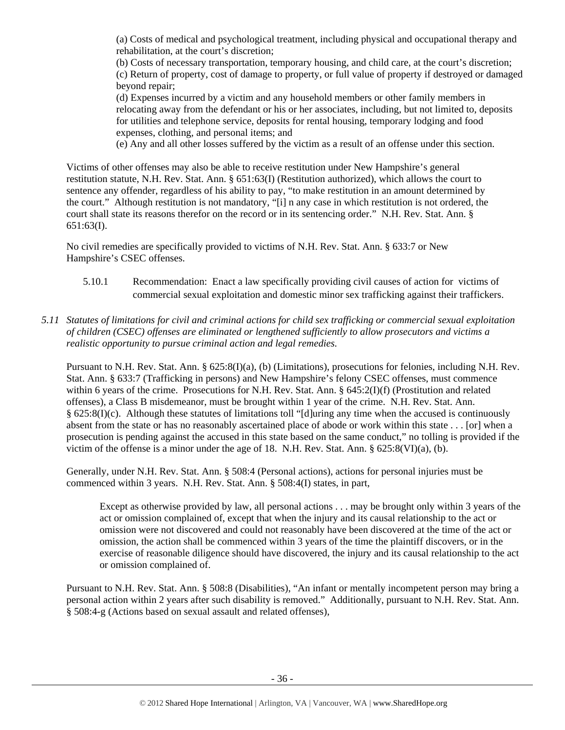(a) Costs of medical and psychological treatment, including physical and occupational therapy and rehabilitation, at the court's discretion;

(b) Costs of necessary transportation, temporary housing, and child care, at the court's discretion; (c) Return of property, cost of damage to property, or full value of property if destroyed or damaged beyond repair;

(d) Expenses incurred by a victim and any household members or other family members in relocating away from the defendant or his or her associates, including, but not limited to, deposits for utilities and telephone service, deposits for rental housing, temporary lodging and food expenses, clothing, and personal items; and

(e) Any and all other losses suffered by the victim as a result of an offense under this section.

Victims of other offenses may also be able to receive restitution under New Hampshire's general restitution statute, N.H. Rev. Stat. Ann. § 651:63(I) (Restitution authorized), which allows the court to sentence any offender, regardless of his ability to pay, "to make restitution in an amount determined by the court." Although restitution is not mandatory, "[i] n any case in which restitution is not ordered, the court shall state its reasons therefor on the record or in its sentencing order." N.H. Rev. Stat. Ann. § 651:63(I).

No civil remedies are specifically provided to victims of N.H. Rev. Stat. Ann. § 633:7 or New Hampshire's CSEC offenses.

- 5.10.1 Recommendation: Enact a law specifically providing civil causes of action for victims of commercial sexual exploitation and domestic minor sex trafficking against their traffickers.
- *5.11 Statutes of limitations for civil and criminal actions for child sex trafficking or commercial sexual exploitation of children (CSEC) offenses are eliminated or lengthened sufficiently to allow prosecutors and victims a realistic opportunity to pursue criminal action and legal remedies.*

Pursuant to N.H. Rev. Stat. Ann. § 625:8(I)(a), (b) (Limitations), prosecutions for felonies, including N.H. Rev. Stat. Ann. § 633:7 (Trafficking in persons) and New Hampshire's felony CSEC offenses, must commence within 6 years of the crime. Prosecutions for N.H. Rev. Stat. Ann. § 645:2(I)(f) (Prostitution and related offenses), a Class B misdemeanor, must be brought within 1 year of the crime. N.H. Rev. Stat. Ann. § 625:8(I)(c). Although these statutes of limitations toll "[d]uring any time when the accused is continuously absent from the state or has no reasonably ascertained place of abode or work within this state . . . [or] when a prosecution is pending against the accused in this state based on the same conduct," no tolling is provided if the victim of the offense is a minor under the age of 18. N.H. Rev. Stat. Ann. § 625:8(VI)(a), (b).

Generally, under N.H. Rev. Stat. Ann. § 508:4 (Personal actions), actions for personal injuries must be commenced within 3 years. N.H. Rev. Stat. Ann. § 508:4(I) states, in part,

Except as otherwise provided by law, all personal actions . . . may be brought only within 3 years of the act or omission complained of, except that when the injury and its causal relationship to the act or omission were not discovered and could not reasonably have been discovered at the time of the act or omission, the action shall be commenced within 3 years of the time the plaintiff discovers, or in the exercise of reasonable diligence should have discovered, the injury and its causal relationship to the act or omission complained of.

Pursuant to N.H. Rev. Stat. Ann. § 508:8 (Disabilities), "An infant or mentally incompetent person may bring a personal action within 2 years after such disability is removed." Additionally, pursuant to N.H. Rev. Stat. Ann. § 508:4-g (Actions based on sexual assault and related offenses),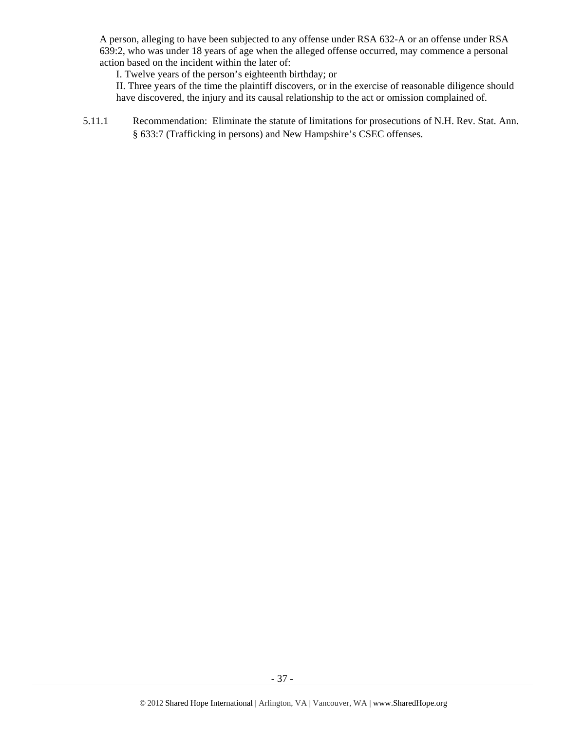A person, alleging to have been subjected to any offense under RSA 632-A or an offense under RSA 639:2, who was under 18 years of age when the alleged offense occurred, may commence a personal action based on the incident within the later of:

I. Twelve years of the person's eighteenth birthday; or

II. Three years of the time the plaintiff discovers, or in the exercise of reasonable diligence should have discovered, the injury and its causal relationship to the act or omission complained of.

5.11.1 Recommendation: Eliminate the statute of limitations for prosecutions of N.H. Rev. Stat. Ann. § 633:7 (Trafficking in persons) and New Hampshire's CSEC offenses.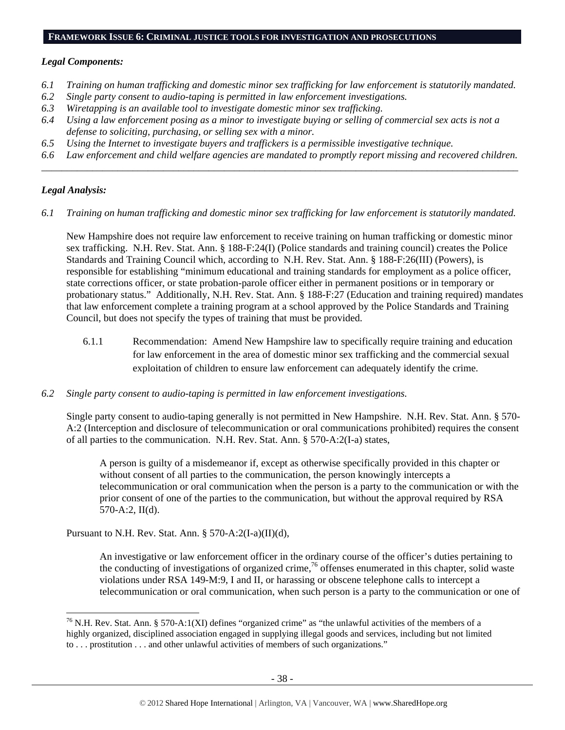#### **FRAMEWORK ISSUE 6: CRIMINAL JUSTICE TOOLS FOR INVESTIGATION AND PROSECUTIONS**

#### *Legal Components:*

- *6.1 Training on human trafficking and domestic minor sex trafficking for law enforcement is statutorily mandated.*
- *6.2 Single party consent to audio-taping is permitted in law enforcement investigations.*
- *6.3 Wiretapping is an available tool to investigate domestic minor sex trafficking.*
- *6.4 Using a law enforcement posing as a minor to investigate buying or selling of commercial sex acts is not a defense to soliciting, purchasing, or selling sex with a minor.*
- *6.5 Using the Internet to investigate buyers and traffickers is a permissible investigative technique.*
- *6.6 Law enforcement and child welfare agencies are mandated to promptly report missing and recovered children. \_\_\_\_\_\_\_\_\_\_\_\_\_\_\_\_\_\_\_\_\_\_\_\_\_\_\_\_\_\_\_\_\_\_\_\_\_\_\_\_\_\_\_\_\_\_\_\_\_\_\_\_\_\_\_\_\_\_\_\_\_\_\_\_\_\_\_\_\_\_\_\_\_\_\_\_\_\_\_\_\_\_\_\_\_\_\_\_\_\_\_\_\_\_*

## *Legal Analysis:*

1

*6.1 Training on human trafficking and domestic minor sex trafficking for law enforcement is statutorily mandated.* 

New Hampshire does not require law enforcement to receive training on human trafficking or domestic minor sex trafficking. N.H. Rev. Stat. Ann. § 188-F:24(I) (Police standards and training council) creates the Police Standards and Training Council which, according to N.H. Rev. Stat. Ann. § 188-F:26(III) (Powers), is responsible for establishing "minimum educational and training standards for employment as a police officer, state corrections officer, or state probation-parole officer either in permanent positions or in temporary or probationary status." Additionally, N.H. Rev. Stat. Ann. § 188-F:27 (Education and training required) mandates that law enforcement complete a training program at a school approved by the Police Standards and Training Council, but does not specify the types of training that must be provided.

- 6.1.1 Recommendation: Amend New Hampshire law to specifically require training and education for law enforcement in the area of domestic minor sex trafficking and the commercial sexual exploitation of children to ensure law enforcement can adequately identify the crime.
- *6.2 Single party consent to audio-taping is permitted in law enforcement investigations.*

Single party consent to audio-taping generally is not permitted in New Hampshire. N.H. Rev. Stat. Ann. § 570- A:2 (Interception and disclosure of telecommunication or oral communications prohibited) requires the consent of all parties to the communication. N.H. Rev. Stat. Ann. § 570-A:2(I-a) states,

A person is guilty of a misdemeanor if, except as otherwise specifically provided in this chapter or without consent of all parties to the communication, the person knowingly intercepts a telecommunication or oral communication when the person is a party to the communication or with the prior consent of one of the parties to the communication, but without the approval required by RSA 570-A:2, II(d).

Pursuant to N.H. Rev. Stat. Ann.  $\S 570-A:2(I-a)(II)(d)$ ,

An investigative or law enforcement officer in the ordinary course of the officer's duties pertaining to the conducting of investigations of organized crime,<sup>76</sup> offenses enumerated in this chapter, solid waste violations under RSA 149-M:9, I and II, or harassing or obscene telephone calls to intercept a telecommunication or oral communication, when such person is a party to the communication or one of

<sup>&</sup>lt;sup>76</sup> N.H. Rev. Stat. Ann. § 570-A:1(XI) defines "organized crime" as "the unlawful activities of the members of a highly organized, disciplined association engaged in supplying illegal goods and services, including but not limited to . . . prostitution . . . and other unlawful activities of members of such organizations."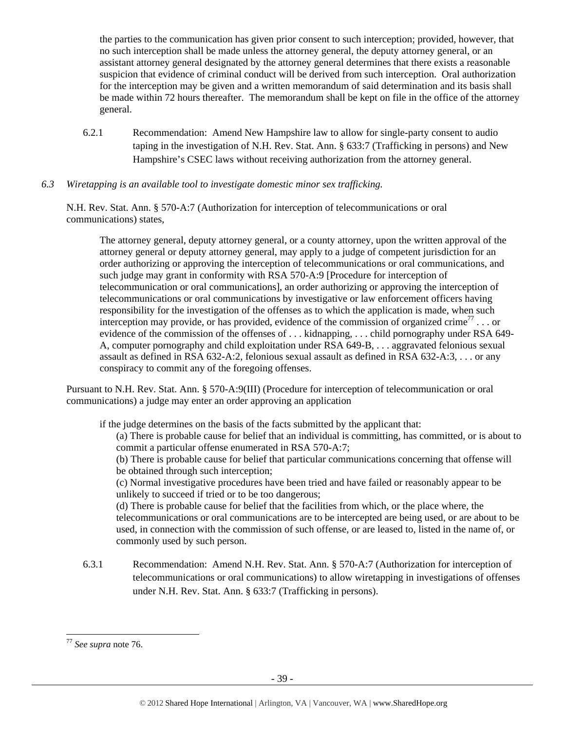the parties to the communication has given prior consent to such interception; provided, however, that no such interception shall be made unless the attorney general, the deputy attorney general, or an assistant attorney general designated by the attorney general determines that there exists a reasonable suspicion that evidence of criminal conduct will be derived from such interception. Oral authorization for the interception may be given and a written memorandum of said determination and its basis shall be made within 72 hours thereafter. The memorandum shall be kept on file in the office of the attorney general.

- 6.2.1 Recommendation: Amend New Hampshire law to allow for single-party consent to audio taping in the investigation of N.H. Rev. Stat. Ann. § 633:7 (Trafficking in persons) and New Hampshire's CSEC laws without receiving authorization from the attorney general.
- *6.3 Wiretapping is an available tool to investigate domestic minor sex trafficking.*

N.H. Rev. Stat. Ann. § 570-A:7 (Authorization for interception of telecommunications or oral communications) states,

The attorney general, deputy attorney general, or a county attorney, upon the written approval of the attorney general or deputy attorney general, may apply to a judge of competent jurisdiction for an order authorizing or approving the interception of telecommunications or oral communications, and such judge may grant in conformity with RSA 570-A:9 [Procedure for interception of telecommunication or oral communications], an order authorizing or approving the interception of telecommunications or oral communications by investigative or law enforcement officers having responsibility for the investigation of the offenses as to which the application is made, when such interception may provide, or has provided, evidence of the commission of organized crime<sup>77</sup>... or evidence of the commission of the offenses of . . . kidnapping, . . . child pornography under RSA 649- A, computer pornography and child exploitation under RSA 649-B, . . . aggravated felonious sexual assault as defined in RSA 632-A:2, felonious sexual assault as defined in RSA 632-A:3, . . . or any conspiracy to commit any of the foregoing offenses.

Pursuant to N.H. Rev. Stat. Ann. § 570-A:9(III) (Procedure for interception of telecommunication or oral communications) a judge may enter an order approving an application

if the judge determines on the basis of the facts submitted by the applicant that:

(a) There is probable cause for belief that an individual is committing, has committed, or is about to commit a particular offense enumerated in RSA 570-A:7;

(b) There is probable cause for belief that particular communications concerning that offense will be obtained through such interception;

(c) Normal investigative procedures have been tried and have failed or reasonably appear to be unlikely to succeed if tried or to be too dangerous;

(d) There is probable cause for belief that the facilities from which, or the place where, the telecommunications or oral communications are to be intercepted are being used, or are about to be used, in connection with the commission of such offense, or are leased to, listed in the name of, or commonly used by such person.

6.3.1 Recommendation: Amend N.H. Rev. Stat. Ann. § 570-A:7 (Authorization for interception of telecommunications or oral communications) to allow wiretapping in investigations of offenses under N.H. Rev. Stat. Ann. § 633:7 (Trafficking in persons).

1

<sup>77</sup> *See supra* note 76.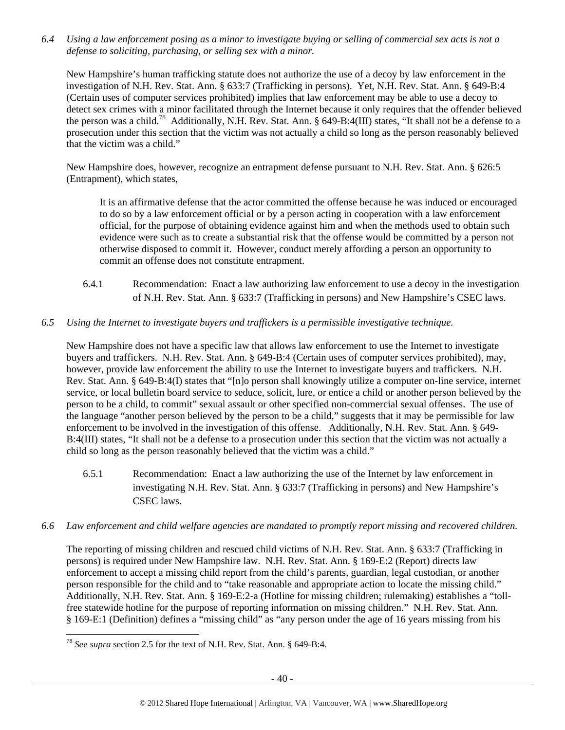*6.4 Using a law enforcement posing as a minor to investigate buying or selling of commercial sex acts is not a defense to soliciting, purchasing, or selling sex with a minor.* 

New Hampshire's human trafficking statute does not authorize the use of a decoy by law enforcement in the investigation of N.H. Rev. Stat. Ann. § 633:7 (Trafficking in persons). Yet, N.H. Rev. Stat. Ann. § 649-B:4 (Certain uses of computer services prohibited) implies that law enforcement may be able to use a decoy to detect sex crimes with a minor facilitated through the Internet because it only requires that the offender believed the person was a child.<sup>78</sup> Additionally, N.H. Rev. Stat. Ann. § 649-B:4(III) states, "It shall not be a defense to a prosecution under this section that the victim was not actually a child so long as the person reasonably believed that the victim was a child."

New Hampshire does, however, recognize an entrapment defense pursuant to N.H. Rev. Stat. Ann. § 626:5 (Entrapment), which states,

It is an affirmative defense that the actor committed the offense because he was induced or encouraged to do so by a law enforcement official or by a person acting in cooperation with a law enforcement official, for the purpose of obtaining evidence against him and when the methods used to obtain such evidence were such as to create a substantial risk that the offense would be committed by a person not otherwise disposed to commit it. However, conduct merely affording a person an opportunity to commit an offense does not constitute entrapment.

6.4.1 Recommendation: Enact a law authorizing law enforcement to use a decoy in the investigation of N.H. Rev. Stat. Ann. § 633:7 (Trafficking in persons) and New Hampshire's CSEC laws.

## *6.5 Using the Internet to investigate buyers and traffickers is a permissible investigative technique.*

New Hampshire does not have a specific law that allows law enforcement to use the Internet to investigate buyers and traffickers. N.H. Rev. Stat. Ann. § 649-B:4 (Certain uses of computer services prohibited), may, however, provide law enforcement the ability to use the Internet to investigate buyers and traffickers. N.H. Rev. Stat. Ann. § 649-B:4(I) states that "[n]o person shall knowingly utilize a computer on-line service, internet service, or local bulletin board service to seduce, solicit, lure, or entice a child or another person believed by the person to be a child, to commit" sexual assault or other specified non-commercial sexual offenses. The use of the language "another person believed by the person to be a child," suggests that it may be permissible for law enforcement to be involved in the investigation of this offense. Additionally, N.H. Rev. Stat. Ann. § 649- B:4(III) states, "It shall not be a defense to a prosecution under this section that the victim was not actually a child so long as the person reasonably believed that the victim was a child."

6.5.1 Recommendation: Enact a law authorizing the use of the Internet by law enforcement in investigating N.H. Rev. Stat. Ann. § 633:7 (Trafficking in persons) and New Hampshire's CSEC laws.

## *6.6 Law enforcement and child welfare agencies are mandated to promptly report missing and recovered children.*

The reporting of missing children and rescued child victims of N.H. Rev. Stat. Ann. § 633:7 (Trafficking in persons) is required under New Hampshire law. N.H. Rev. Stat. Ann. § 169-E:2 (Report) directs law enforcement to accept a missing child report from the child's parents, guardian, legal custodian, or another person responsible for the child and to "take reasonable and appropriate action to locate the missing child." Additionally, N.H. Rev. Stat. Ann. § 169-E:2-a (Hotline for missing children; rulemaking) establishes a "tollfree statewide hotline for the purpose of reporting information on missing children." N.H. Rev. Stat. Ann. § 169-E:1 (Definition) defines a "missing child" as "any person under the age of 16 years missing from his

1

<sup>78</sup> *See supra* section 2.5 for the text of N.H. Rev. Stat. Ann. § 649-B:4.